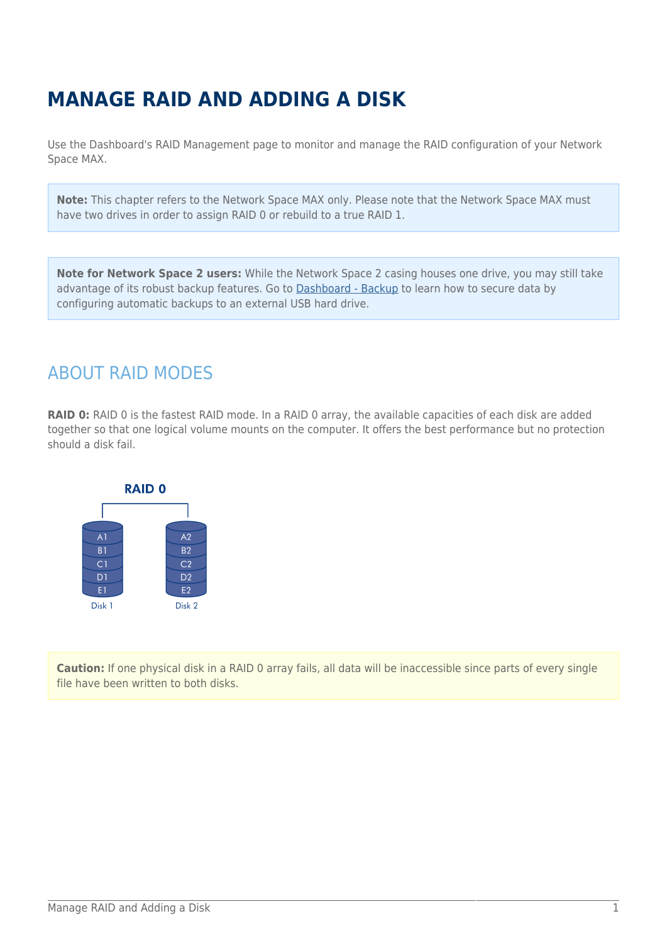# **MANAGE RAID AND ADDING A DISK**

Use the Dashboard's RAID Management page to monitor and manage the RAID configuration of your Network Space MAX.

**Note:** This chapter refers to the Network Space MAX only. Please note that the Network Space MAX must have two drives in order to assign RAID 0 or rebuild to a true RAID 1.

**Note for Network Space 2 users:** While the Network Space 2 casing houses one drive, you may still take advantage of its robust backup features. Go to [Dashboard - Backup](http://manuals.lacie.com/en/manuals/ns2-nsmax/dashboard#dashboard-backup) to learn how to secure data by configuring automatic backups to an external USB hard drive.

## ABOUT RAID MODES

**RAID 0:** RAID 0 is the fastest RAID mode. In a RAID 0 array, the available capacities of each disk are added together so that one logical volume mounts on the computer. It offers the best performance but no protection should a disk fail.



**Caution:** If one physical disk in a RAID 0 array fails, all data will be inaccessible since parts of every single file have been written to both disks.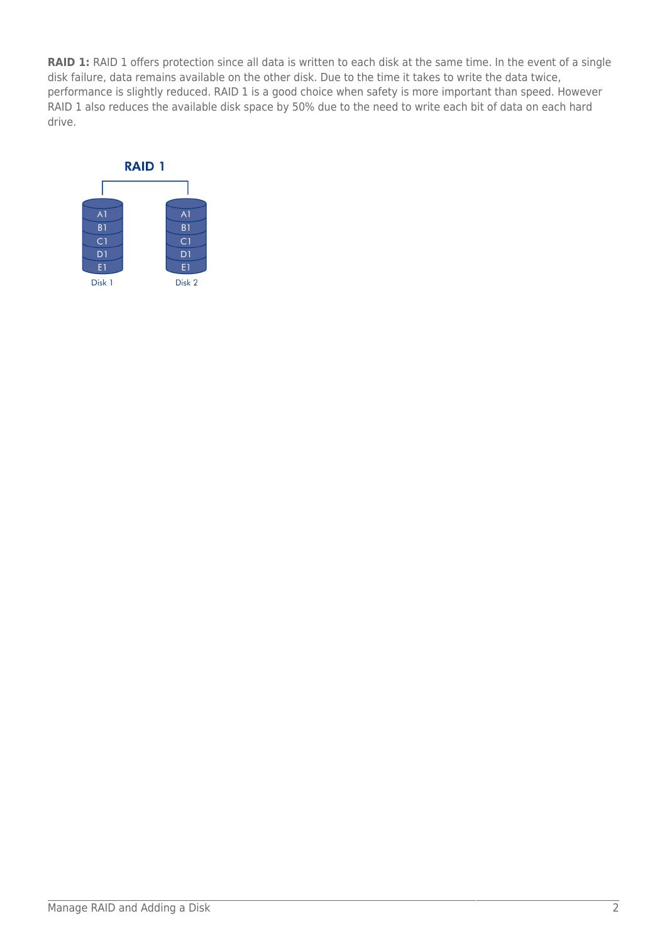**RAID 1:** RAID 1 offers protection since all data is written to each disk at the same time. In the event of a single disk failure, data remains available on the other disk. Due to the time it takes to write the data twice, performance is slightly reduced. RAID 1 is a good choice when safety is more important than speed. However RAID 1 also reduces the available disk space by 50% due to the need to write each bit of data on each hard drive.

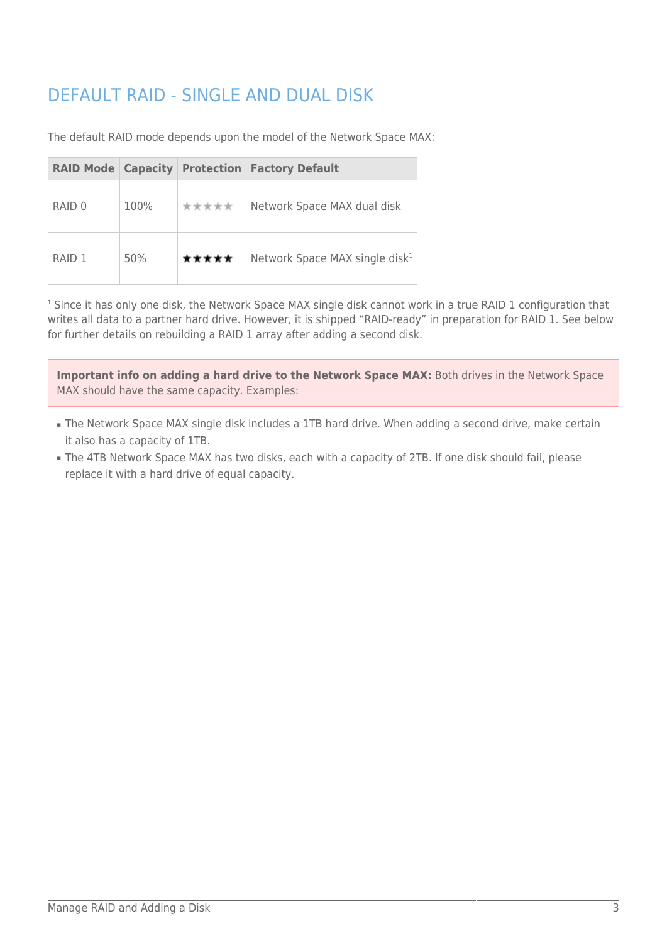# DEFAULT RAID - SINGLE AND DUAL DISK

The default RAID mode depends upon the model of the Network Space MAX:

| <b>RAID Mode Capacity</b> |      |       | <b>Protection   Factory Default</b>        |
|---------------------------|------|-------|--------------------------------------------|
| RAID 0                    | 100% | ***** | Network Space MAX dual disk                |
| RAID <sub>1</sub>         | 50%  | ***** | Network Space MAX single disk <sup>1</sup> |

1 Since it has only one disk, the Network Space MAX single disk cannot work in a true RAID 1 configuration that writes all data to a partner hard drive. However, it is shipped "RAID-ready" in preparation for RAID 1. See below for further details on rebuilding a RAID 1 array after adding a second disk.

**Important info on adding a hard drive to the Network Space MAX:** Both drives in the Network Space MAX should have the same capacity. Examples:

- The Network Space MAX single disk includes a 1TB hard drive. When adding a second drive, make certain it also has a capacity of 1TB.
- The 4TB Network Space MAX has two disks, each with a capacity of 2TB. If one disk should fail, please replace it with a hard drive of equal capacity.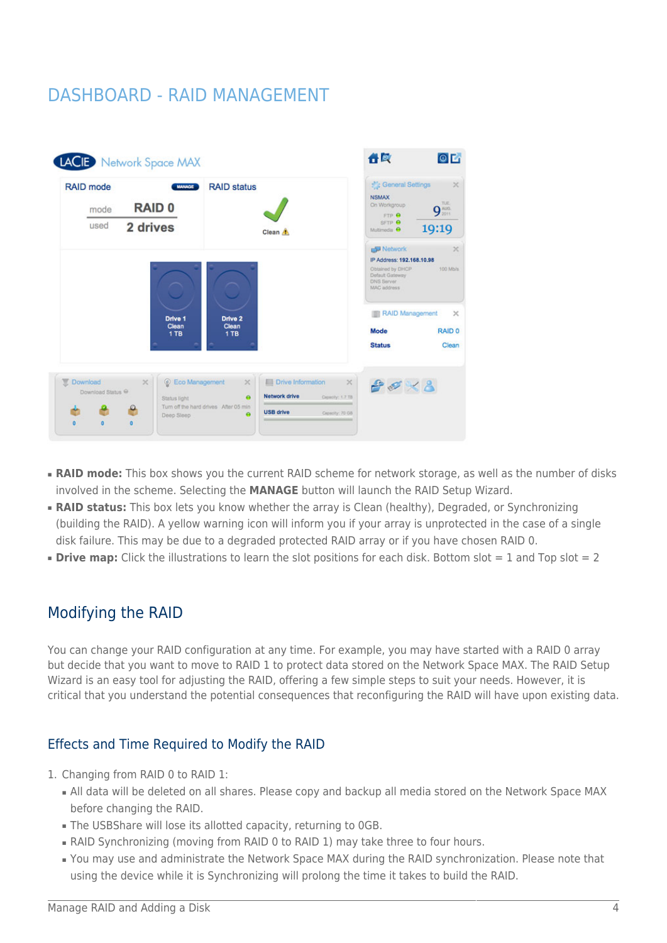## DASHBOARD - RAID MANAGEMENT

| <b>RAID 0</b>                        |                                                          | <b>NSMAX</b><br>On Workgroup<br>FTP O                                   | TUE.<br>9 <sub>2011</sub>                                      |
|--------------------------------------|----------------------------------------------------------|-------------------------------------------------------------------------|----------------------------------------------------------------|
|                                      |                                                          |                                                                         |                                                                |
| 2 drives                             | Clean A                                                  | SFTP O<br>Multimedia <sup>O</sup>                                       | 19:19                                                          |
|                                      |                                                          | Obtained by DHCP<br>Default Gateway<br><b>DNS Server</b><br>MAC address | $\times$<br>100 Mb/s                                           |
| Drive 2<br>Drive 1<br>Clean<br>Clean |                                                          | Mode                                                                    | $\times$<br>RAID <sub>0</sub>                                  |
|                                      |                                                          | <b>Status</b>                                                           | Clean                                                          |
|                                      |                                                          |                                                                         |                                                                |
| C Eco Management<br>$\!\times\!$     | <b>Ell</b> Drive Information<br>$\times$<br>$\mathbb{X}$ | $P \ll \times 8$                                                        |                                                                |
|                                      | 1 TB<br>1TB                                              |                                                                         | Network<br>IP Address: 192.168.10.98<br><b>RAID Management</b> |

- **RAID mode:** This box shows you the current RAID scheme for network storage, as well as the number of disks involved in the scheme. Selecting the **MANAGE** button will launch the RAID Setup Wizard.
- **RAID status:** This box lets you know whether the array is Clean (healthy), Degraded, or Synchronizing (building the RAID). A yellow warning icon will inform you if your array is unprotected in the case of a single disk failure. This may be due to a degraded protected RAID array or if you have chosen RAID 0.
- **Drive map:** Click the illustrations to learn the slot positions for each disk. Bottom slot = 1 and Top slot = 2

### Modifying the RAID

You can change your RAID configuration at any time. For example, you may have started with a RAID 0 array but decide that you want to move to RAID 1 to protect data stored on the Network Space MAX. The RAID Setup Wizard is an easy tool for adjusting the RAID, offering a few simple steps to suit your needs. However, it is critical that you understand the potential consequences that reconfiguring the RAID will have upon existing data.

### Effects and Time Required to Modify the RAID

- 1. Changing from RAID 0 to RAID 1:
	- All data will be deleted on all shares. Please copy and backup all media stored on the Network Space MAX before changing the RAID.
	- The USBShare will lose its allotted capacity, returning to 0GB.
	- RAID Synchronizing (moving from RAID 0 to RAID 1) may take three to four hours.
	- You may use and administrate the Network Space MAX during the RAID synchronization. Please note that using the device while it is Synchronizing will prolong the time it takes to build the RAID.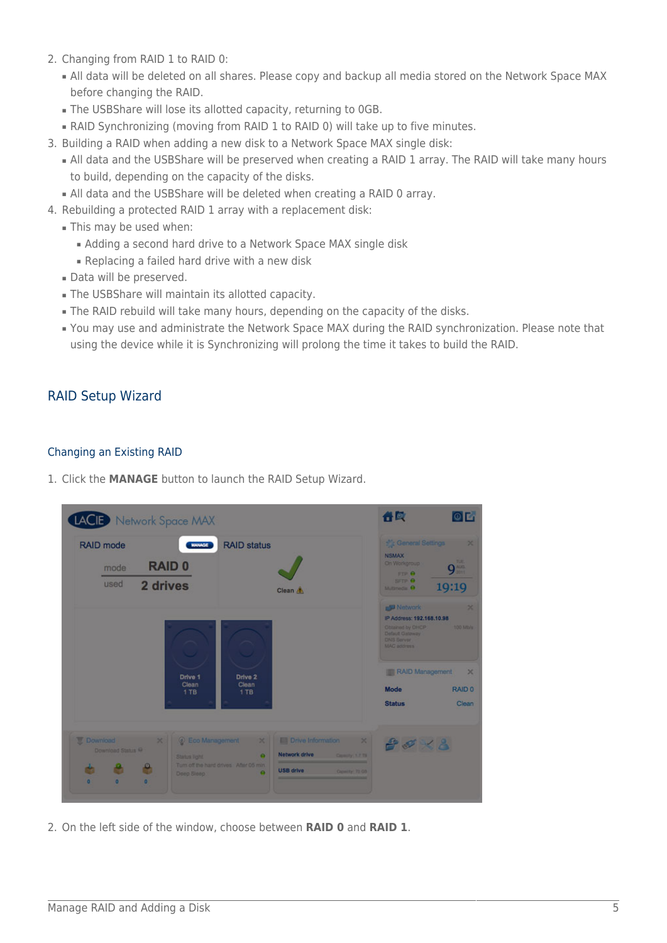- 2. Changing from RAID 1 to RAID 0:
	- All data will be deleted on all shares. Please copy and backup all media stored on the Network Space MAX before changing the RAID.
	- The USBShare will lose its allotted capacity, returning to 0GB.
	- RAID Synchronizing (moving from RAID 1 to RAID 0) will take up to five minutes.
- 3. Building a RAID when adding a new disk to a Network Space MAX single disk:
	- All data and the USBShare will be preserved when creating a RAID 1 array. The RAID will take many hours to build, depending on the capacity of the disks.
	- All data and the USBShare will be deleted when creating a RAID 0 array.
- 4. Rebuilding a protected RAID 1 array with a replacement disk:
	- This may be used when:
		- Adding a second hard drive to a Network Space MAX single disk
		- Replacing a failed hard drive with a new disk
	- Data will be preserved.
	- The USBShare will maintain its allotted capacity.
	- The RAID rebuild will take many hours, depending on the capacity of the disks.
	- You may use and administrate the Network Space MAX during the RAID synchronization. Please note that using the device while it is Synchronizing will prolong the time it takes to build the RAID.

### RAID Setup Wizard

#### Changing an Existing RAID

1. Click the **MANAGE** button to launch the RAID Setup Wizard.

| <b>LACED</b> Network Space MAX                                                                                         |                                                                                                                                                                                                                           | 合同<br>O <sub>C</sub>                                                                                                                                                      |
|------------------------------------------------------------------------------------------------------------------------|---------------------------------------------------------------------------------------------------------------------------------------------------------------------------------------------------------------------------|---------------------------------------------------------------------------------------------------------------------------------------------------------------------------|
| <b>RAID</b> mode<br><b>MANAGE</b><br><b>RAID 0</b><br>mode<br>used<br>2 drives                                         | <b>RAID status</b><br>Clean A                                                                                                                                                                                             | <b>C</b> : General Settings<br>$\mathbf{x}$<br><b>NSMAX</b><br>TU <sub>.</sub><br>On Workgroup<br>9 <sup>ma</sup><br>FTR A<br>SFTP O<br>19:19<br>Multimoda <sub>R</sub> O |
|                                                                                                                        |                                                                                                                                                                                                                           | <b>Network</b><br>×<br>IP Address: 192.168.10.98<br>Obtained by OHCP<br><b>100 Mb/s</b><br>Default Galaway<br><b>DNS Server</b><br><b>MAC address</b>                     |
| Drive 1<br>Clean<br>$1$ TB                                                                                             | Drive 2<br>Clean<br>$1$ TB                                                                                                                                                                                                | RAID Management<br>$\mathbf x$<br>Mode<br><b>RAID 0</b><br><b>Status</b><br>Clean                                                                                         |
| Download<br>C Eco Management<br>$\times$<br>Download Status O<br>Status light<br>e<br>ä<br>Deep Sleep:<br>п<br>o<br>o. | <b>Ell Drive Information</b><br>$\times$<br>$\mathbb{R}$<br><b>Network drive</b><br>$\bullet$<br>Consulty 1.7 TH<br>Turn off the hard drives After 05 min.<br><b>USB drive</b><br>Capacty <sup>1</sup> 70 GB<br>$\bullet$ | $80\times 8$                                                                                                                                                              |

2. On the left side of the window, choose between **RAID 0** and **RAID 1**.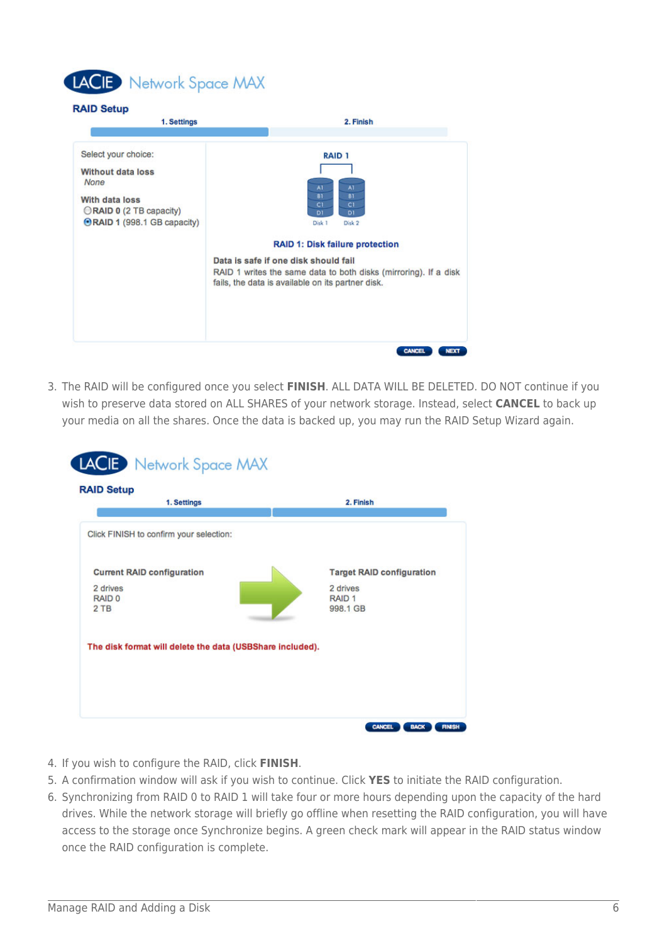# LACIE Network Space MAX

#### **RAID Setup**



3. The RAID will be configured once you select **FINISH**. ALL DATA WILL BE DELETED. DO NOT continue if you wish to preserve data stored on ALL SHARES of your network storage. Instead, select **CANCEL** to back up your media on all the shares. Once the data is backed up, you may run the RAID Setup Wizard again.

| 1. Settings                                               | 2. Finish                        |
|-----------------------------------------------------------|----------------------------------|
|                                                           |                                  |
| Click FINISH to confirm your selection:                   |                                  |
|                                                           |                                  |
| <b>Current RAID configuration</b>                         | <b>Target RAID configuration</b> |
| 2 drives<br>RAID <sub>0</sub>                             | 2 drives<br>RAID <sub>1</sub>    |
| 2 TB                                                      | 998.1 GB                         |
|                                                           |                                  |
| The disk format will delete the data (USBShare included). |                                  |
|                                                           |                                  |
|                                                           |                                  |

- 4. If you wish to configure the RAID, click **FINISH**.
- 5. A confirmation window will ask if you wish to continue. Click **YES** to initiate the RAID configuration.
- 6. Synchronizing from RAID 0 to RAID 1 will take four or more hours depending upon the capacity of the hard drives. While the network storage will briefly go offline when resetting the RAID configuration, you will have access to the storage once Synchronize begins. A green check mark will appear in the RAID status window once the RAID configuration is complete.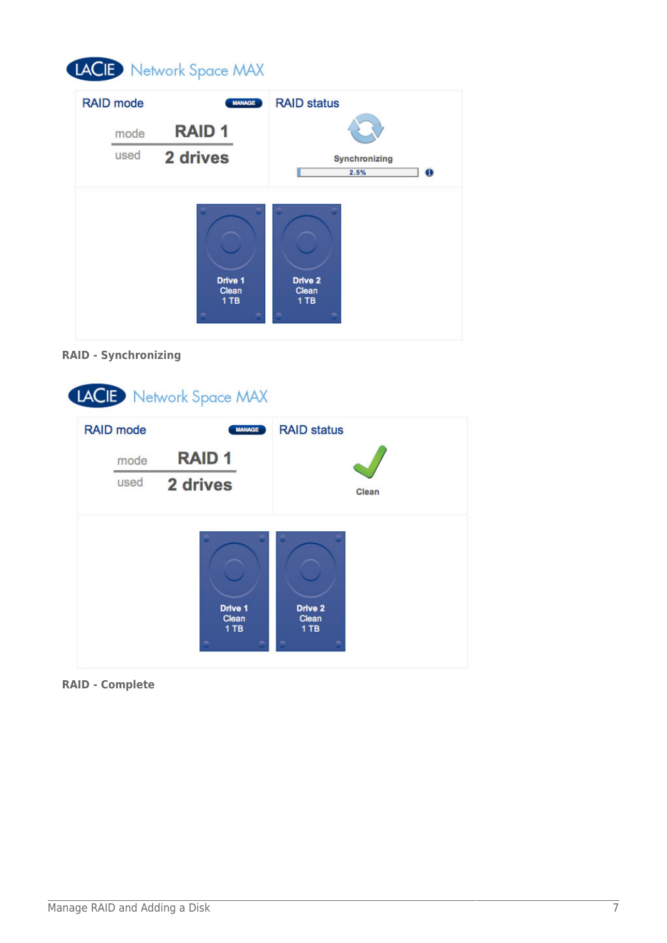# LACIE Network Space MAX

| <b>RAID</b> mode | <b>MANAGE</b>    | <b>RAID status</b>                 |
|------------------|------------------|------------------------------------|
| mode             | <b>RAID1</b>     |                                    |
| used             | 2 drives         | Synchronizing<br>2.5%<br>$\bullet$ |
|                  | Drive 1<br>Clean | Drive <sub>2</sub><br>Clean        |
|                  | 1 TB             | 1 TB                               |





**RAID - Complete**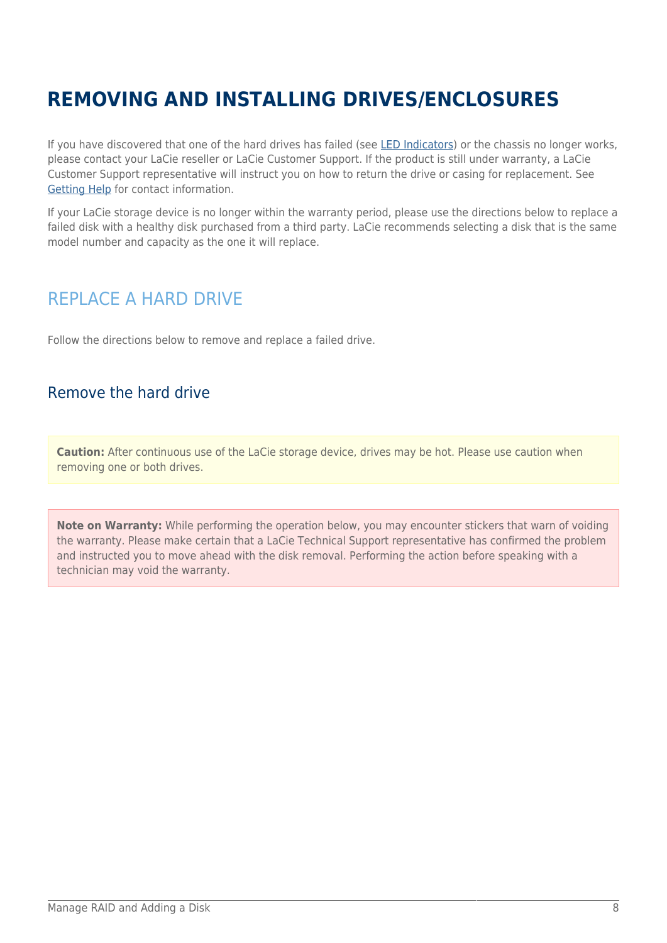# **REMOVING AND INSTALLING DRIVES/ENCLOSURES**

If you have discovered that one of the hard drives has failed (see [LED Indicators\)](http://manuals.lacie.com/en/manuals/ns2-nsmax/led) or the chassis no longer works, please contact your LaCie reseller or LaCie Customer Support. If the product is still under warranty, a LaCie Customer Support representative will instruct you on how to return the drive or casing for replacement. See [Getting Help](http://manuals.lacie.com/en/manuals/ns2-nsmax/help) for contact information.

If your LaCie storage device is no longer within the warranty period, please use the directions below to replace a failed disk with a healthy disk purchased from a third party. LaCie recommends selecting a disk that is the same model number and capacity as the one it will replace.

## REPLACE A HARD DRIVE

Follow the directions below to remove and replace a failed drive.

### Remove the hard drive

**Caution:** After continuous use of the LaCie storage device, drives may be hot. Please use caution when removing one or both drives.

**Note on Warranty:** While performing the operation below, you may encounter stickers that warn of voiding the warranty. Please make certain that a LaCie Technical Support representative has confirmed the problem and instructed you to move ahead with the disk removal. Performing the action before speaking with a technician may void the warranty.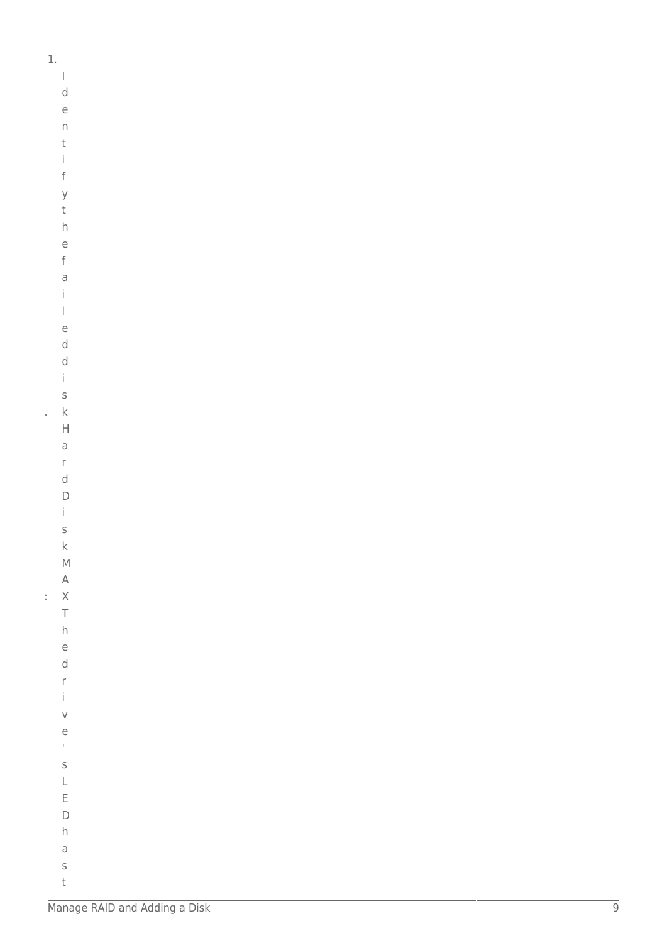$\mathbf{1}$ .

 $\mathsf I$  $\mathsf d$  $\epsilon$  $\overline{n}$  $\mathsf t$  $\mathbf{i}$  $\mathsf f$  $\mathsf{y}$  $\sf t$  $h$  $\overline{e}$  $\mathsf{f}$  $\overline{a}$  $\mathbf{i}$  $\overline{1}$  $\mathsf{e}% _{0}\left( \mathsf{e}\right)$  $\mathsf d$  $\mathsf d$  $\mathbf{i}$  $\sf S$  $\mathsf{k}$ à,

 $\boldsymbol{\mathsf{H}}$  $\overline{\mathrm{d}}$  $\mathsf{r}$  $\operatorname{\mathsf{d}}$  $\mathsf D$  $\mathbf{i}$  $\sf S$  $\mathsf{k}$  $\mathsf{M}$  $\mathsf A$  $\therefore$  X  $\top$  $h$  $\overline{e}$  $\mathsf{d}$  $\mathsf{r}$  $\mathbf{i}$  $\vee$  $\rm e$  $\bar{\Gamma}$  $\mathsf S$  $\mathsf L$  $\mathsf{E}% _{0}\left( \mathsf{E}_{0}\right)$  $\mathsf D$  $h$ 

> $\mathsf a$  $\sf S$  $\mathsf t$ Manage RAID and Adding a Disk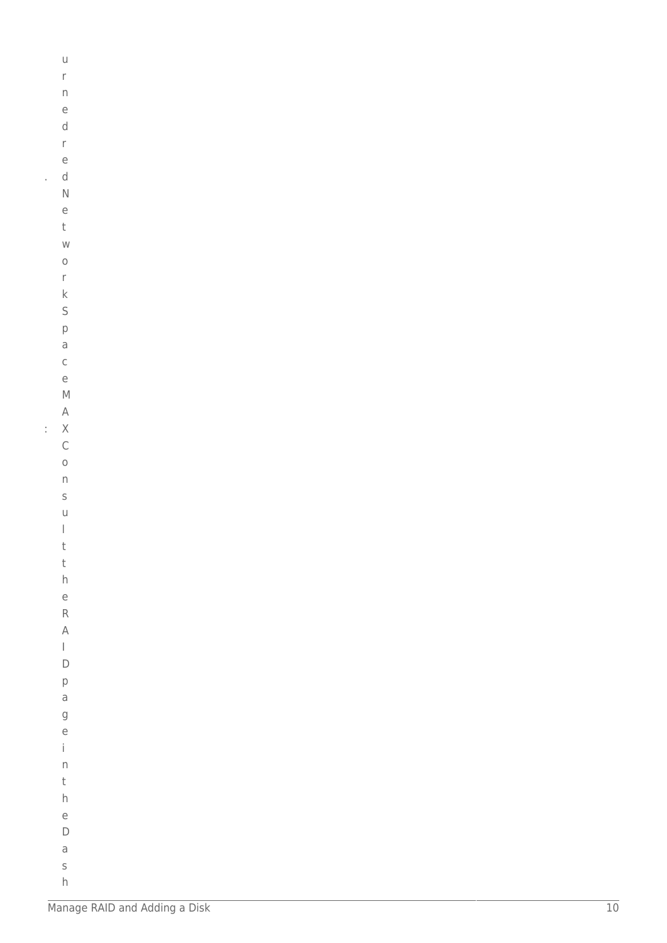|    | $\cup$                                                                                                                                                                                                                                                                                                                                                                                                         |  |  |  |  |
|----|----------------------------------------------------------------------------------------------------------------------------------------------------------------------------------------------------------------------------------------------------------------------------------------------------------------------------------------------------------------------------------------------------------------|--|--|--|--|
|    | $\mathsf{r}$                                                                                                                                                                                                                                                                                                                                                                                                   |  |  |  |  |
|    |                                                                                                                                                                                                                                                                                                                                                                                                                |  |  |  |  |
|    | $\mathsf{n}$                                                                                                                                                                                                                                                                                                                                                                                                   |  |  |  |  |
|    | e<br>d                                                                                                                                                                                                                                                                                                                                                                                                         |  |  |  |  |
|    |                                                                                                                                                                                                                                                                                                                                                                                                                |  |  |  |  |
|    | $\mathsf{r}$                                                                                                                                                                                                                                                                                                                                                                                                   |  |  |  |  |
|    | e                                                                                                                                                                                                                                                                                                                                                                                                              |  |  |  |  |
| ł  | d                                                                                                                                                                                                                                                                                                                                                                                                              |  |  |  |  |
|    | $\overline{\mathsf{N}}$                                                                                                                                                                                                                                                                                                                                                                                        |  |  |  |  |
|    | e                                                                                                                                                                                                                                                                                                                                                                                                              |  |  |  |  |
|    | $\mathsf t$                                                                                                                                                                                                                                                                                                                                                                                                    |  |  |  |  |
|    | W                                                                                                                                                                                                                                                                                                                                                                                                              |  |  |  |  |
|    | $\circ$                                                                                                                                                                                                                                                                                                                                                                                                        |  |  |  |  |
|    | $\mathsf{r}$                                                                                                                                                                                                                                                                                                                                                                                                   |  |  |  |  |
|    | $\mathsf{k}$                                                                                                                                                                                                                                                                                                                                                                                                   |  |  |  |  |
|    | S                                                                                                                                                                                                                                                                                                                                                                                                              |  |  |  |  |
|    | p                                                                                                                                                                                                                                                                                                                                                                                                              |  |  |  |  |
|    | a                                                                                                                                                                                                                                                                                                                                                                                                              |  |  |  |  |
|    | $\mathsf{C}$                                                                                                                                                                                                                                                                                                                                                                                                   |  |  |  |  |
|    | e                                                                                                                                                                                                                                                                                                                                                                                                              |  |  |  |  |
|    | $\mathsf{M}$                                                                                                                                                                                                                                                                                                                                                                                                   |  |  |  |  |
|    | $\forall$                                                                                                                                                                                                                                                                                                                                                                                                      |  |  |  |  |
| l, | $\overline{\mathsf{X}}$                                                                                                                                                                                                                                                                                                                                                                                        |  |  |  |  |
|    | $\mathsf{C}$                                                                                                                                                                                                                                                                                                                                                                                                   |  |  |  |  |
|    | $\circ$                                                                                                                                                                                                                                                                                                                                                                                                        |  |  |  |  |
|    | $\mathsf{n}$                                                                                                                                                                                                                                                                                                                                                                                                   |  |  |  |  |
|    | S                                                                                                                                                                                                                                                                                                                                                                                                              |  |  |  |  |
|    | U                                                                                                                                                                                                                                                                                                                                                                                                              |  |  |  |  |
|    | $\begin{array}{c} \rule{0pt}{2ex} \rule{0pt}{2ex} \rule{0pt}{2ex} \rule{0pt}{2ex} \rule{0pt}{2ex} \rule{0pt}{2ex} \rule{0pt}{2ex} \rule{0pt}{2ex} \rule{0pt}{2ex} \rule{0pt}{2ex} \rule{0pt}{2ex} \rule{0pt}{2ex} \rule{0pt}{2ex} \rule{0pt}{2ex} \rule{0pt}{2ex} \rule{0pt}{2ex} \rule{0pt}{2ex} \rule{0pt}{2ex} \rule{0pt}{2ex} \rule{0pt}{2ex} \rule{0pt}{2ex} \rule{0pt}{2ex} \rule{0pt}{2ex} \rule{0pt}{$ |  |  |  |  |
|    | t                                                                                                                                                                                                                                                                                                                                                                                                              |  |  |  |  |
|    | t                                                                                                                                                                                                                                                                                                                                                                                                              |  |  |  |  |
|    | $\overline{h}$                                                                                                                                                                                                                                                                                                                                                                                                 |  |  |  |  |
|    | e                                                                                                                                                                                                                                                                                                                                                                                                              |  |  |  |  |
|    | $\mathsf{R}$                                                                                                                                                                                                                                                                                                                                                                                                   |  |  |  |  |
|    | $\overline{\mathsf{A}}$                                                                                                                                                                                                                                                                                                                                                                                        |  |  |  |  |
|    | $\begin{array}{c} \rule{0pt}{2ex} \rule{0pt}{2ex} \rule{0pt}{2ex} \rule{0pt}{2ex} \rule{0pt}{2ex} \rule{0pt}{2ex} \rule{0pt}{2ex} \rule{0pt}{2ex} \rule{0pt}{2ex} \rule{0pt}{2ex} \rule{0pt}{2ex} \rule{0pt}{2ex} \rule{0pt}{2ex} \rule{0pt}{2ex} \rule{0pt}{2ex} \rule{0pt}{2ex} \rule{0pt}{2ex} \rule{0pt}{2ex} \rule{0pt}{2ex} \rule{0pt}{2ex} \rule{0pt}{2ex} \rule{0pt}{2ex} \rule{0pt}{2ex} \rule{0pt}{$ |  |  |  |  |
|    | D                                                                                                                                                                                                                                                                                                                                                                                                              |  |  |  |  |
|    | p                                                                                                                                                                                                                                                                                                                                                                                                              |  |  |  |  |
|    | $\overline{a}$                                                                                                                                                                                                                                                                                                                                                                                                 |  |  |  |  |
|    | g                                                                                                                                                                                                                                                                                                                                                                                                              |  |  |  |  |
|    | e                                                                                                                                                                                                                                                                                                                                                                                                              |  |  |  |  |
|    | İ.                                                                                                                                                                                                                                                                                                                                                                                                             |  |  |  |  |
|    | $\overline{\phantom{a}}$                                                                                                                                                                                                                                                                                                                                                                                       |  |  |  |  |
|    | t                                                                                                                                                                                                                                                                                                                                                                                                              |  |  |  |  |
|    | $\overline{h}$                                                                                                                                                                                                                                                                                                                                                                                                 |  |  |  |  |
|    | e                                                                                                                                                                                                                                                                                                                                                                                                              |  |  |  |  |
|    | D                                                                                                                                                                                                                                                                                                                                                                                                              |  |  |  |  |
|    | a                                                                                                                                                                                                                                                                                                                                                                                                              |  |  |  |  |
|    |                                                                                                                                                                                                                                                                                                                                                                                                                |  |  |  |  |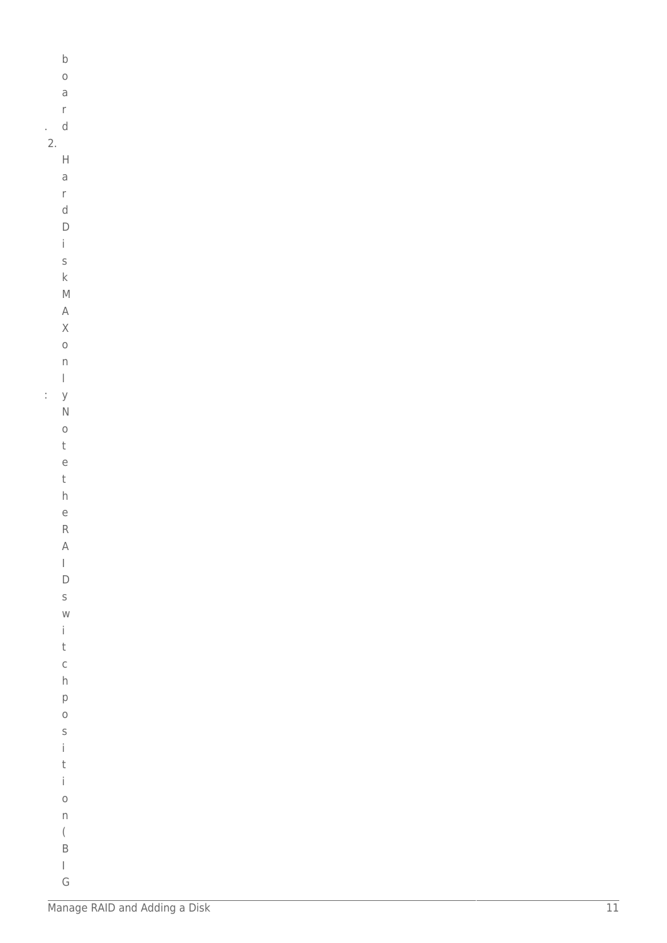|    | $\mathsf b$                           |  |
|----|---------------------------------------|--|
|    | $\circ$                               |  |
|    | $\overline{a}$                        |  |
|    | $\mathsf{r}$                          |  |
| k, | $\mathsf{d}$                          |  |
| 2. |                                       |  |
|    | $\mathsf{H}$                          |  |
|    | $\overline{a}$                        |  |
|    | $\mathsf{r}$                          |  |
|    | $\mathsf{d}$                          |  |
|    | $\mathsf{D}$                          |  |
|    | $\mathbf{i}$                          |  |
|    | $\mathsf{s}$                          |  |
|    | $\mathsf k$                           |  |
|    | $\mathsf{M}$                          |  |
|    | $\overline{\mathsf{A}}$               |  |
|    |                                       |  |
|    | $\overline{\mathsf{X}}$               |  |
|    | $\circ$                               |  |
|    | $\mathsf{n}$                          |  |
|    | $\begin{array}{c} \end{array}$        |  |
| ţ  | y                                     |  |
|    | $\overline{\mathsf{N}}$               |  |
|    | $\circ$                               |  |
|    | $\mathsf t$                           |  |
|    | $\overline{e}$                        |  |
|    | $\mathsf t$                           |  |
|    | $\overline{h}$                        |  |
|    | $\in$                                 |  |
|    | $\mathsf{R}$                          |  |
|    | $\forall$                             |  |
|    | $\begin{array}{c} \hline \end{array}$ |  |
|    | $\overline{D}$                        |  |
|    | $\mathsf S$                           |  |
|    | $\mathsf{W}$                          |  |
|    | $\mathbf{i}$                          |  |
|    | $\mathsf{t}$                          |  |
|    | $\mathsf{C}$                          |  |
|    | $\overline{h}$                        |  |
|    | $\mathsf{p}$                          |  |
|    | $\circ$                               |  |
|    | $\mathsf{s}$                          |  |
|    | $\mathbf{i}$                          |  |
|    | t                                     |  |
|    | $\mathbf{i}$                          |  |
|    | $\circ$                               |  |
|    | $\overline{\mathsf{n}}$               |  |
|    | $\big($                               |  |
|    | $\overline{B}$                        |  |
|    | $\overline{\phantom{a}}$              |  |

G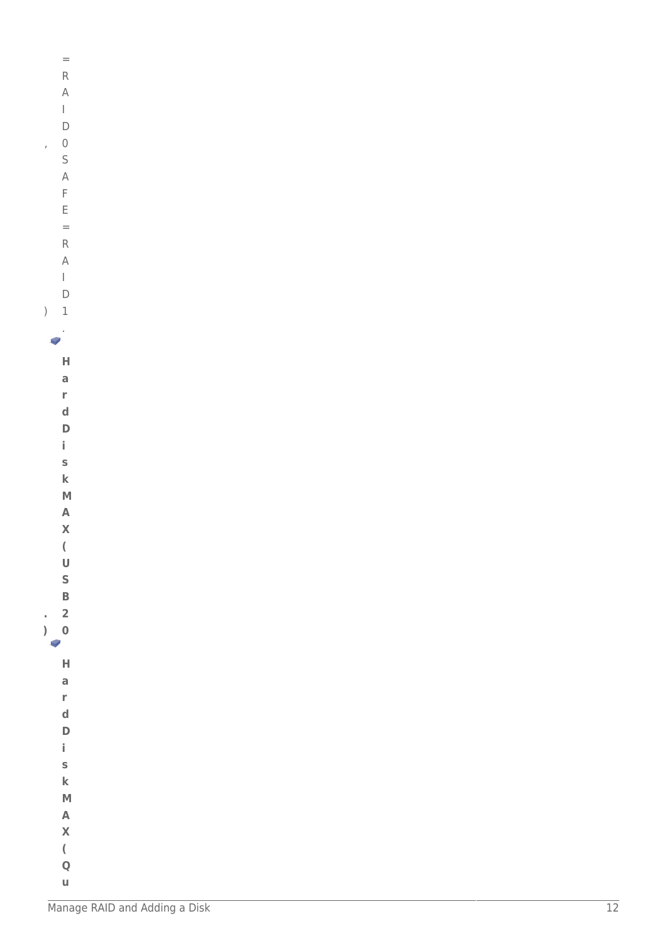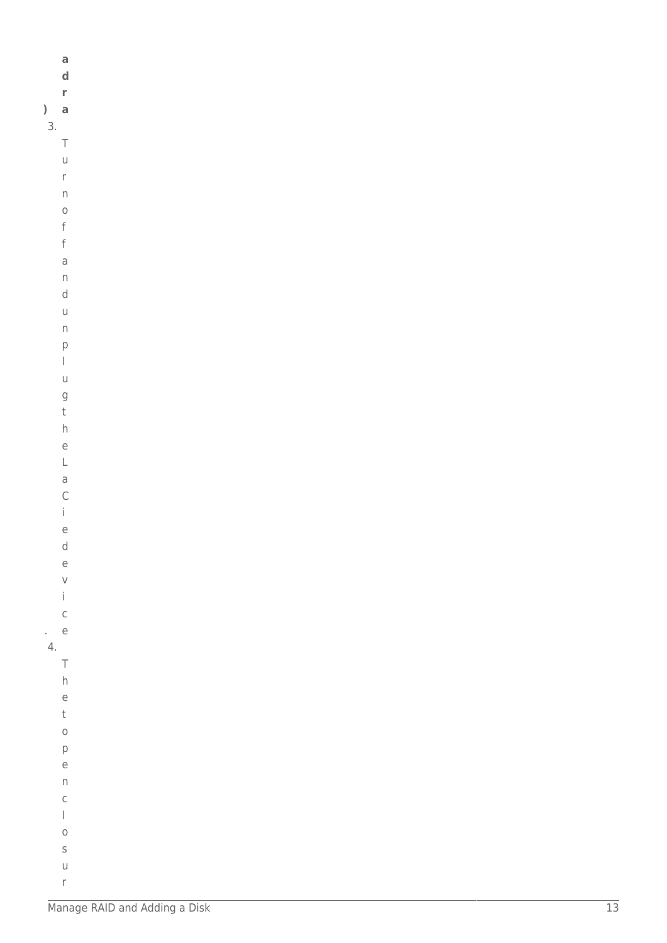|         | a                                                                                                                                                                                                                                                                                                                                                                                                                              |
|---------|--------------------------------------------------------------------------------------------------------------------------------------------------------------------------------------------------------------------------------------------------------------------------------------------------------------------------------------------------------------------------------------------------------------------------------|
|         | $\mathbf d$                                                                                                                                                                                                                                                                                                                                                                                                                    |
|         | r                                                                                                                                                                                                                                                                                                                                                                                                                              |
| $\big)$ | a                                                                                                                                                                                                                                                                                                                                                                                                                              |
| 3.      |                                                                                                                                                                                                                                                                                                                                                                                                                                |
|         | $\top$                                                                                                                                                                                                                                                                                                                                                                                                                         |
|         | $\cup$                                                                                                                                                                                                                                                                                                                                                                                                                         |
|         | $\mathsf{r}$                                                                                                                                                                                                                                                                                                                                                                                                                   |
|         | $\boldsymbol{\mathsf{n}}$                                                                                                                                                                                                                                                                                                                                                                                                      |
|         | $\circ$                                                                                                                                                                                                                                                                                                                                                                                                                        |
|         | $\mathsf f$                                                                                                                                                                                                                                                                                                                                                                                                                    |
|         | $\mathsf f$                                                                                                                                                                                                                                                                                                                                                                                                                    |
|         | $\overline{\mathsf{d}}$                                                                                                                                                                                                                                                                                                                                                                                                        |
|         | $\boldsymbol{\mathsf{n}}$<br>$\sf d$                                                                                                                                                                                                                                                                                                                                                                                           |
|         | $\mathsf{U}% _{T}=\mathsf{U}_{T}\!\left( a,b\right) ,\ \mathsf{U}_{T}=\mathsf{U}_{T}\!\left( a,b\right) ,$                                                                                                                                                                                                                                                                                                                     |
|         | $\boldsymbol{\mathsf{n}}$                                                                                                                                                                                                                                                                                                                                                                                                      |
|         |                                                                                                                                                                                                                                                                                                                                                                                                                                |
|         | $\mathsf{p}$<br>$\begin{array}{c} \rule{0pt}{2ex} \rule{0pt}{2ex} \rule{0pt}{2ex} \rule{0pt}{2ex} \rule{0pt}{2ex} \rule{0pt}{2ex} \rule{0pt}{2ex} \rule{0pt}{2ex} \rule{0pt}{2ex} \rule{0pt}{2ex} \rule{0pt}{2ex} \rule{0pt}{2ex} \rule{0pt}{2ex} \rule{0pt}{2ex} \rule{0pt}{2ex} \rule{0pt}{2ex} \rule{0pt}{2ex} \rule{0pt}{2ex} \rule{0pt}{2ex} \rule{0pt}{2ex} \rule{0pt}{2ex} \rule{0pt}{2ex} \rule{0pt}{2ex} \rule{0pt}{$ |
|         | $\cup$                                                                                                                                                                                                                                                                                                                                                                                                                         |
|         |                                                                                                                                                                                                                                                                                                                                                                                                                                |
|         | g<br>t                                                                                                                                                                                                                                                                                                                                                                                                                         |
|         | $\boldsymbol{\mathsf{h}}$                                                                                                                                                                                                                                                                                                                                                                                                      |
|         | $\mathop{\mathrm{e}}$                                                                                                                                                                                                                                                                                                                                                                                                          |
|         | $\mathsf L$                                                                                                                                                                                                                                                                                                                                                                                                                    |
|         | $\mathsf a$                                                                                                                                                                                                                                                                                                                                                                                                                    |
|         | $\mathsf C$                                                                                                                                                                                                                                                                                                                                                                                                                    |
|         | $\dot{\mathbb{I}}$                                                                                                                                                                                                                                                                                                                                                                                                             |
|         | $\mathop{\mathrm{e}}$                                                                                                                                                                                                                                                                                                                                                                                                          |
|         | $\sf d$                                                                                                                                                                                                                                                                                                                                                                                                                        |
|         | $\epsilon$                                                                                                                                                                                                                                                                                                                                                                                                                     |
|         | $\vee$                                                                                                                                                                                                                                                                                                                                                                                                                         |
|         | $\mathbf i$                                                                                                                                                                                                                                                                                                                                                                                                                    |
|         | $\mathsf{C}$                                                                                                                                                                                                                                                                                                                                                                                                                   |
| k.      | $\overline{e}$                                                                                                                                                                                                                                                                                                                                                                                                                 |
| 4.      |                                                                                                                                                                                                                                                                                                                                                                                                                                |
|         | $\top$                                                                                                                                                                                                                                                                                                                                                                                                                         |
|         | $\boldsymbol{\mathsf{h}}$                                                                                                                                                                                                                                                                                                                                                                                                      |
|         | $\epsilon$                                                                                                                                                                                                                                                                                                                                                                                                                     |
|         | $\mathsf t$                                                                                                                                                                                                                                                                                                                                                                                                                    |
|         | $\circ$                                                                                                                                                                                                                                                                                                                                                                                                                        |
|         | $\mathsf{p}% _{T}$                                                                                                                                                                                                                                                                                                                                                                                                             |
|         | $\rm e$                                                                                                                                                                                                                                                                                                                                                                                                                        |
|         | $\boldsymbol{\mathsf{n}}$                                                                                                                                                                                                                                                                                                                                                                                                      |
|         | $\mathsf C$                                                                                                                                                                                                                                                                                                                                                                                                                    |
|         | $\vert$                                                                                                                                                                                                                                                                                                                                                                                                                        |
|         | $\circ$                                                                                                                                                                                                                                                                                                                                                                                                                        |
|         | $\sf S$                                                                                                                                                                                                                                                                                                                                                                                                                        |
|         | $\mathsf{U}% _{T}=\mathsf{U}_{T}\!\left( a,b\right) ,\ \mathsf{U}_{T}=\mathsf{U}_{T}\!\left( a,b\right) ,$                                                                                                                                                                                                                                                                                                                     |

 $\bar{\Gamma}$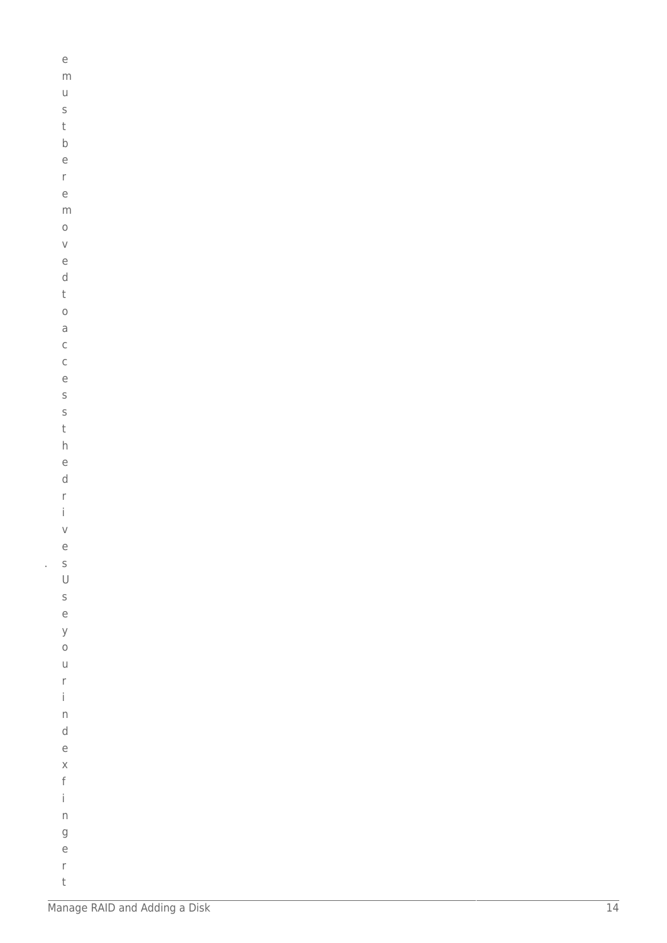| e                       |  |  |
|-------------------------|--|--|
| m                       |  |  |
| U                       |  |  |
| S                       |  |  |
| t                       |  |  |
| $\mathsf b$             |  |  |
| e                       |  |  |
| r                       |  |  |
| e                       |  |  |
| m                       |  |  |
| $\circ$                 |  |  |
| $\vee$                  |  |  |
| e                       |  |  |
| d                       |  |  |
| t                       |  |  |
| $\circ$                 |  |  |
| a                       |  |  |
| $\mathsf{C}$            |  |  |
| $\mathsf{C}$            |  |  |
| e                       |  |  |
| S                       |  |  |
| S                       |  |  |
| t                       |  |  |
| $\overline{h}$          |  |  |
| e                       |  |  |
| d                       |  |  |
| r                       |  |  |
| İ                       |  |  |
| V                       |  |  |
| e                       |  |  |
|                         |  |  |
| S<br>$\cup$             |  |  |
|                         |  |  |
| s<br>e                  |  |  |
| y                       |  |  |
| $\circ$                 |  |  |
| $\cup$                  |  |  |
| r                       |  |  |
| İ                       |  |  |
| $\overline{\mathsf{n}}$ |  |  |
| d                       |  |  |
| e                       |  |  |
| $\times$                |  |  |
| f                       |  |  |
| İ                       |  |  |
|                         |  |  |
| n                       |  |  |
| g                       |  |  |
| e                       |  |  |
| r                       |  |  |

 $\mathsf t$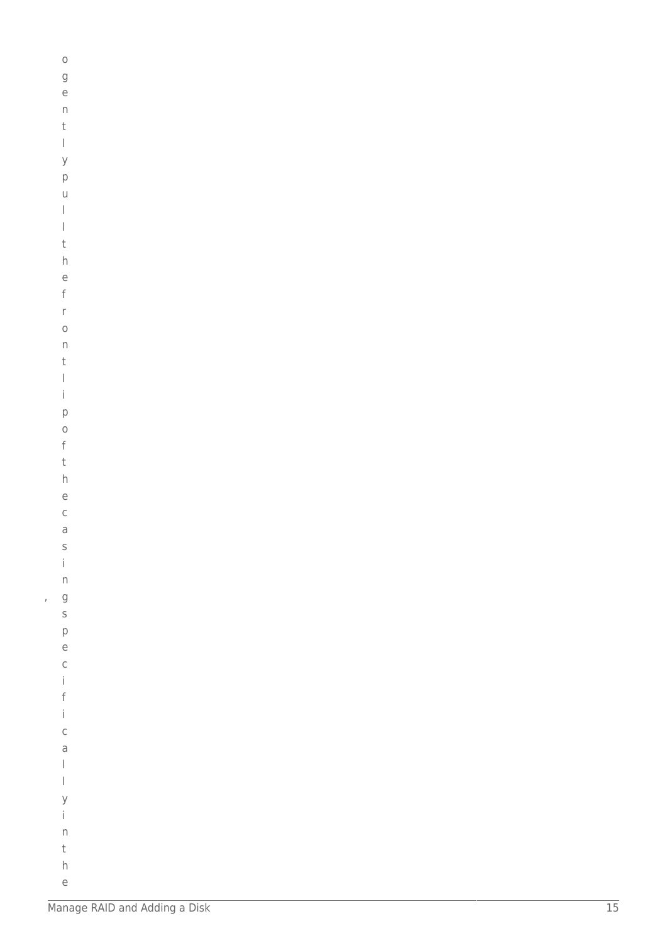|   | $\circ$                                   |  |
|---|-------------------------------------------|--|
|   |                                           |  |
|   | g                                         |  |
|   | e                                         |  |
|   | $\overline{D}$                            |  |
|   | t                                         |  |
|   | $\begin{array}{c} \end{array}$            |  |
|   | y                                         |  |
|   | p                                         |  |
|   | $\cup$                                    |  |
|   | $\bigg]$                                  |  |
|   | $\bigg]$                                  |  |
|   | t                                         |  |
|   |                                           |  |
|   | h                                         |  |
|   | e                                         |  |
|   | f                                         |  |
|   | r                                         |  |
|   | $\circ$                                   |  |
|   | n                                         |  |
|   | t                                         |  |
|   | $\mid$                                    |  |
|   | $\mathsf{i}$                              |  |
|   | p                                         |  |
|   | $\circ$                                   |  |
|   | f                                         |  |
|   |                                           |  |
|   | t                                         |  |
|   | $\overline{h}$                            |  |
|   | e<br>C                                    |  |
|   |                                           |  |
|   | a                                         |  |
|   |                                           |  |
|   |                                           |  |
|   |                                           |  |
| , |                                           |  |
|   |                                           |  |
|   |                                           |  |
|   |                                           |  |
|   |                                           |  |
|   |                                           |  |
|   |                                           |  |
|   |                                           |  |
|   |                                           |  |
|   |                                           |  |
|   |                                           |  |
|   |                                           |  |
|   |                                           |  |
|   |                                           |  |
|   |                                           |  |
|   | s i n g s p e c i f i c a l l y i n t h e |  |
|   |                                           |  |
|   |                                           |  |
|   |                                           |  |
|   |                                           |  |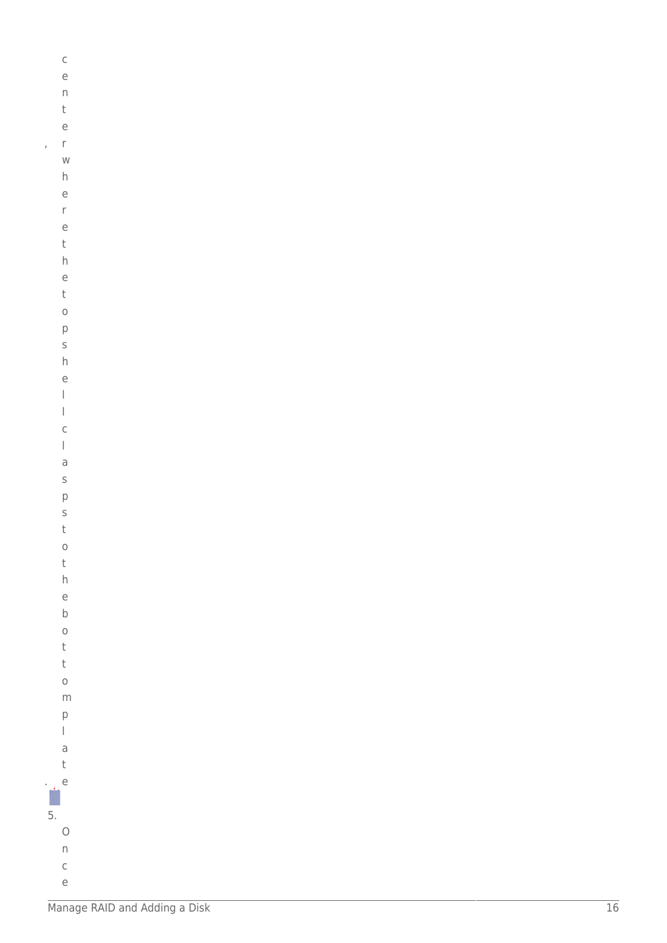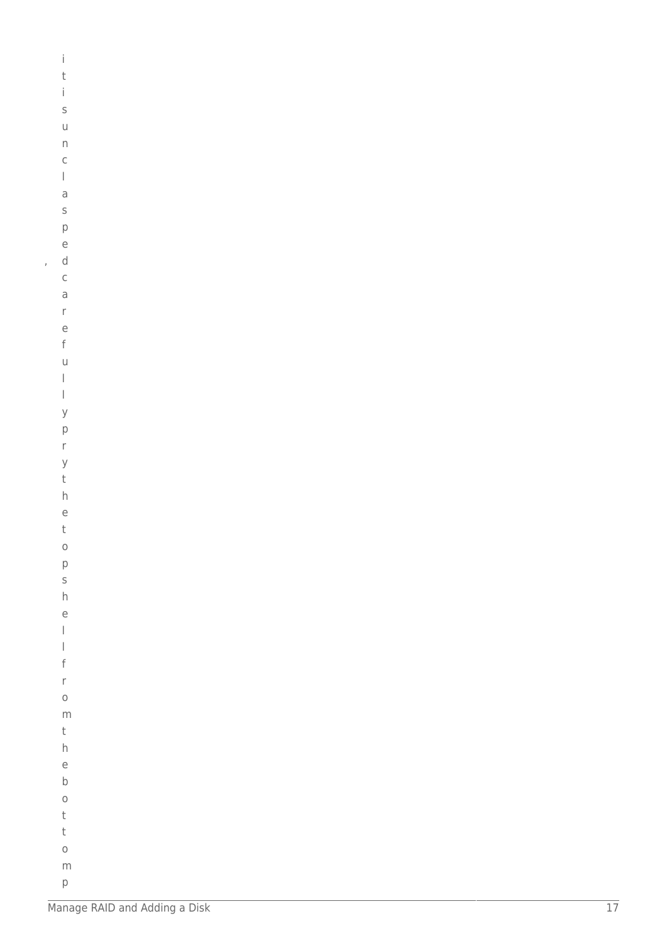| İ                        |  |  |  |
|--------------------------|--|--|--|
| t                        |  |  |  |
| İ                        |  |  |  |
| S                        |  |  |  |
| $\cup$                   |  |  |  |
| $\mathsf{n}$             |  |  |  |
| $\mathsf{C}$             |  |  |  |
| $\overline{\phantom{a}}$ |  |  |  |
| $\overline{a}$           |  |  |  |
| S                        |  |  |  |
| p                        |  |  |  |
| e                        |  |  |  |
| d                        |  |  |  |
| $\mathsf{C}$             |  |  |  |
| a                        |  |  |  |
| r                        |  |  |  |
| e                        |  |  |  |
| f                        |  |  |  |
| $\cup$                   |  |  |  |
| $\mid$                   |  |  |  |
| $\mid$                   |  |  |  |
| y                        |  |  |  |
| $\mathsf{p}$             |  |  |  |
| $\mathsf{r}$             |  |  |  |
| y                        |  |  |  |
| t                        |  |  |  |
| h                        |  |  |  |
| e<br>t                   |  |  |  |
| $\circ$                  |  |  |  |
| p                        |  |  |  |
| S                        |  |  |  |
| h                        |  |  |  |
| e                        |  |  |  |
| $\mid$                   |  |  |  |
| $\bigg]$                 |  |  |  |
| f                        |  |  |  |
| $\mathsf{r}$             |  |  |  |
| $\circ$                  |  |  |  |
| m                        |  |  |  |
| t                        |  |  |  |
| h                        |  |  |  |
| e                        |  |  |  |
| $\mathsf b$              |  |  |  |
| $\circ$                  |  |  |  |
| t                        |  |  |  |
| t                        |  |  |  |
| $\circ$                  |  |  |  |
|                          |  |  |  |

 $\bar{I}$ 

 ${\sf m}$  $\mathsf{p}% _{T}$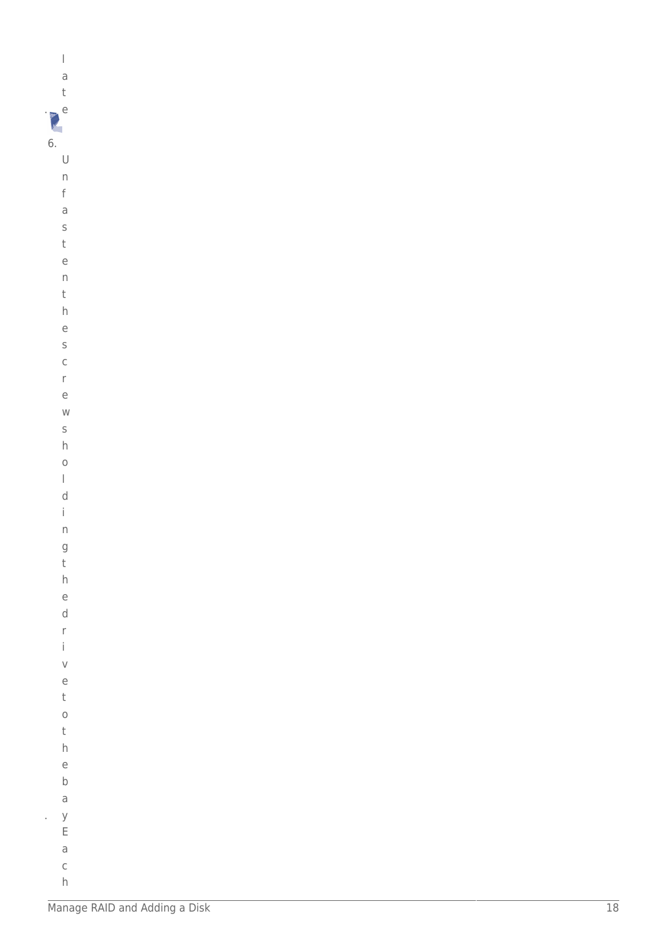|    | I |
|----|---|
|    | a |
|    | t |
| Ĺ  | ੮ |
| ٠. |   |

 $\cup$  $\boldsymbol{\mathsf{n}}$  $\mathsf f$ 

| W                        |  |  |  |
|--------------------------|--|--|--|
| S                        |  |  |  |
| h                        |  |  |  |
| $\circ$                  |  |  |  |
| $\overline{\phantom{a}}$ |  |  |  |
| d                        |  |  |  |
| $\mathsf{i}$             |  |  |  |
| $\mathsf{n}$             |  |  |  |
| g                        |  |  |  |
| t                        |  |  |  |
| h                        |  |  |  |
| e                        |  |  |  |
| d                        |  |  |  |
| r                        |  |  |  |
| $\mathsf{i}$             |  |  |  |
| V                        |  |  |  |
| e                        |  |  |  |
| t                        |  |  |  |
| $\circ$                  |  |  |  |
| t                        |  |  |  |
| h                        |  |  |  |
| e                        |  |  |  |
| $\mathsf b$              |  |  |  |
| a                        |  |  |  |
| y                        |  |  |  |
| E                        |  |  |  |
| a                        |  |  |  |
| $\mathsf{C}$             |  |  |  |

l,

 $h$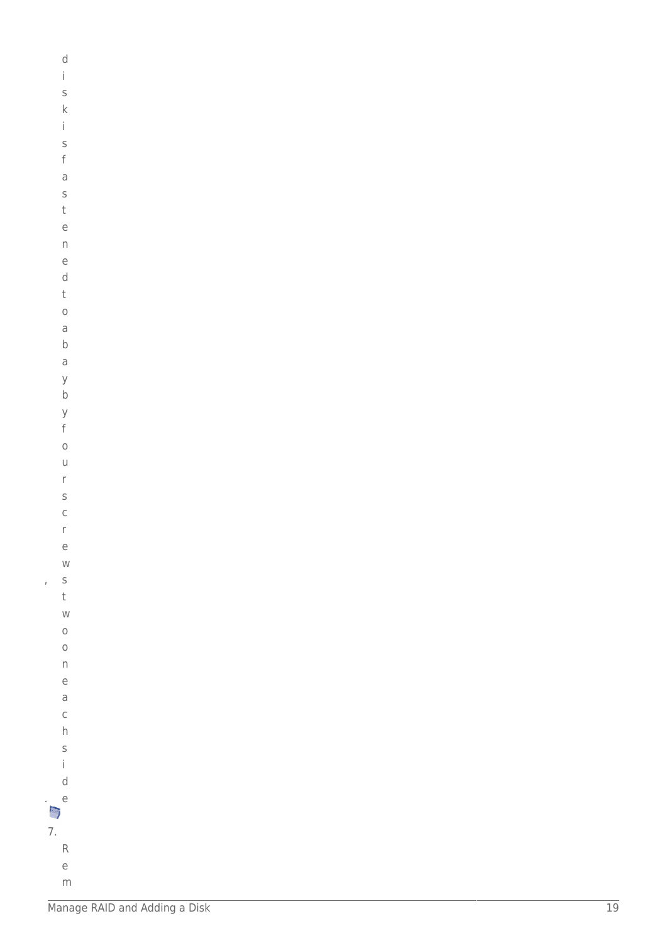|               | d            |
|---------------|--------------|
|               | i            |
|               |              |
|               | S            |
|               | k            |
|               | İ            |
|               | S            |
|               | f            |
|               | a            |
|               | S            |
|               | t            |
|               |              |
|               | e            |
|               | n            |
|               | e            |
|               | d            |
|               | t            |
|               | $\circ$      |
|               | a            |
|               | b            |
|               | a            |
|               |              |
|               | y            |
|               | $\mathsf{b}$ |
|               | y            |
|               | f            |
|               | $\circ$      |
|               | u            |
|               | r            |
|               | S            |
|               | $\mathsf{C}$ |
|               |              |
|               | r            |
|               | e            |
|               | W            |
| J             | s<br>t       |
|               |              |
|               | W            |
|               | $\circ$      |
|               | $\circ$      |
|               | n            |
|               | e            |
|               | a            |
|               | $\mathsf{C}$ |
|               |              |
|               | h            |
|               | S            |
|               | i.           |
|               | d            |
|               | e            |
|               |              |
| $\frac{1}{7}$ |              |
|               | R            |
|               | e            |
|               |              |

 ${\sf m}$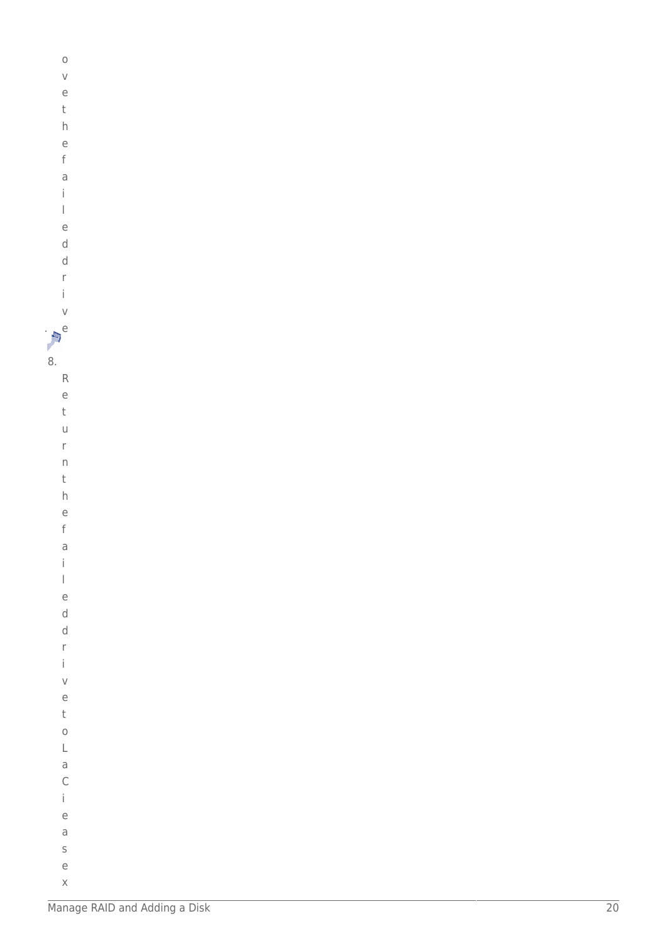$\circ$  $\vee$  $\overline{e}$  $\mathsf t$  $\,h$  $\overline{e}$  $\mathsf f$  $\overline{a}$  $\dot{\mathbf{I}}$  $\begin{array}{c} \hline \end{array}$  $\overline{e}$  $\mathsf d$  $\mathsf{d}$  $\mathsf{r}$  $\mathbf{i}$  $\vee$  $\mathbf{p}^e$ 8.  $\mathsf R$  $\mathsf{e}$  $\mathbf{t}$  $\cup$  $\bar{\Gamma}$  $\overline{n}$  $\mathsf t$  $h$  $\epsilon$  $\mathsf{f}$  $\overline{a}$  $\mathbf{i}$  $\vert$  $\overline{e}$  $\mathsf{d}$  $\operatorname{\mathsf{d}}$  $\mathsf{r}$  $\mathbf{i}$  $\vee$  $\overline{e}$  $\sf t$  $\circ$  $\mathsf L$  $\mathsf a$  $\mathsf{C}$  $\dot{1}$  $\mathsf{e}% _{0}\left( \mathsf{e}\right)$  $\partial$  $\sf S$  $\rm e$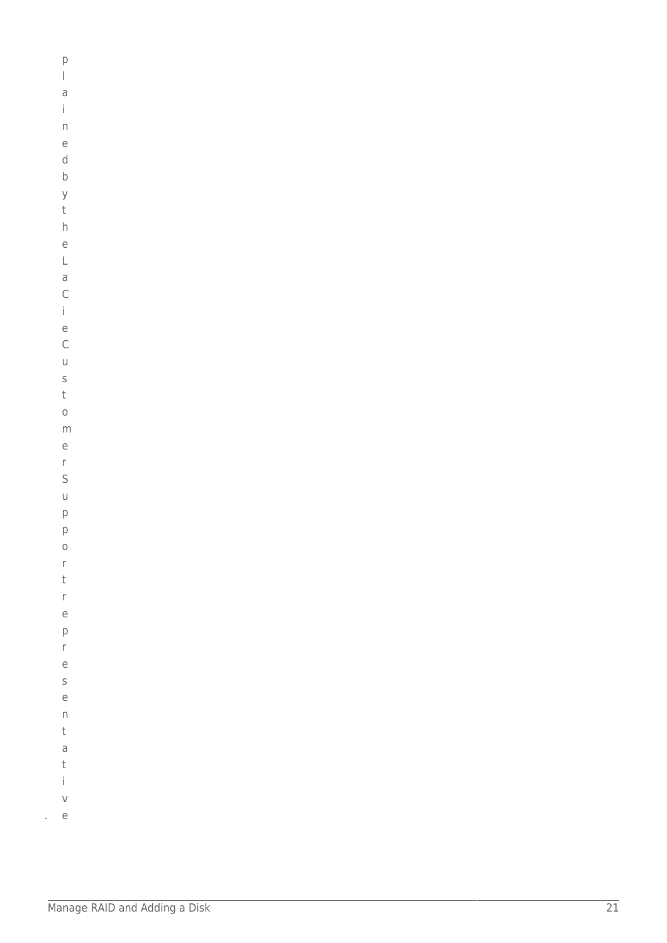$\mathsf{p}% _{T}$  $\overline{a}$  $\mathbf{i}$  $\overline{\phantom{a}}$  $\overline{e}$  $\mathsf d$  $\sf b$  $\mathsf{y}$  $\bar{\mathrm{t}}$  $h$  $\overline{e}$  $\bar{L}$  $\overline{a}$  $\mathsf{C}$  $\mathbf{i}$  $\rm e$  $\mathsf C$  $\cup$  $\sf S$  $\mathsf t$  $\circ$  $m$  $\rm e$  $\mathsf{r}$  $\mathsf{S}$  $\cup$  $\mathsf{p}$  $\mathsf{p}$  $\circ$  $\mathsf{r}$  $\mathsf t$  $\mathsf{r}$  $\mathsf{e}% _{t}\left( t_{0}\right)$  $\mathsf{p}$  $\mathsf{r}$  $\mathsf{e}% _{0}\left( \mathsf{e}\right)$  $\mathsf S$  $\epsilon$  $\boldsymbol{\mathsf{n}}$  $\mathsf t$  $\mathsf a$  $\sf t$  $\mathbf{i}$ 

 $\vee$  $e$ à,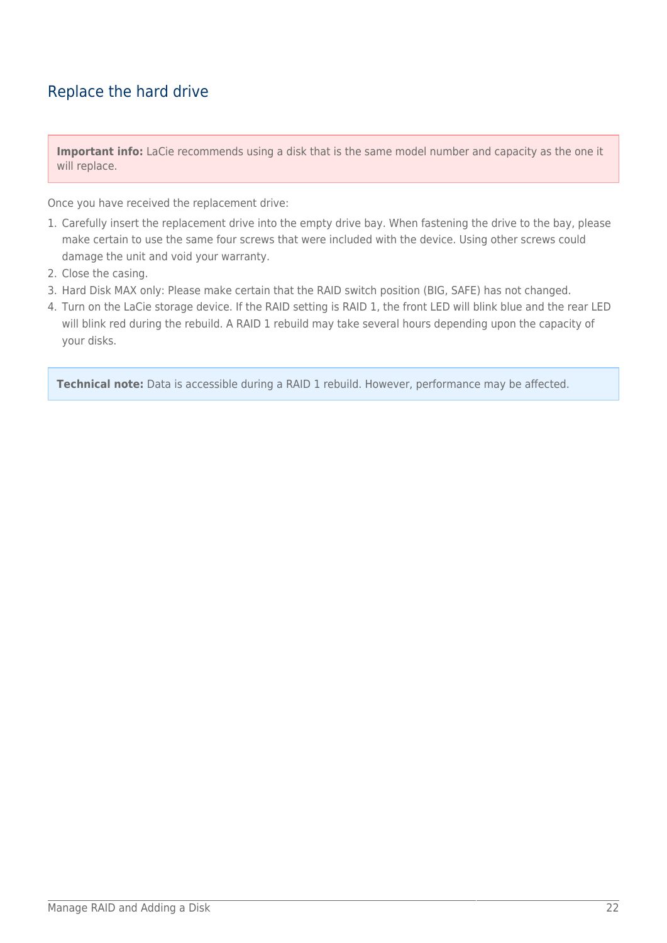### Replace the hard drive

**Important info:** LaCie recommends using a disk that is the same model number and capacity as the one it will replace.

Once you have received the replacement drive:

- 1. Carefully insert the replacement drive into the empty drive bay. When fastening the drive to the bay, please make certain to use the same four screws that were included with the device. Using other screws could damage the unit and void your warranty.
- 2. Close the casing.
- 3. Hard Disk MAX only: Please make certain that the RAID switch position (BIG, SAFE) has not changed.
- 4. Turn on the LaCie storage device. If the RAID setting is RAID 1, the front LED will blink blue and the rear LED will blink red during the rebuild. A RAID 1 rebuild may take several hours depending upon the capacity of your disks.

**Technical note:** Data is accessible during a RAID 1 rebuild. However, performance may be affected.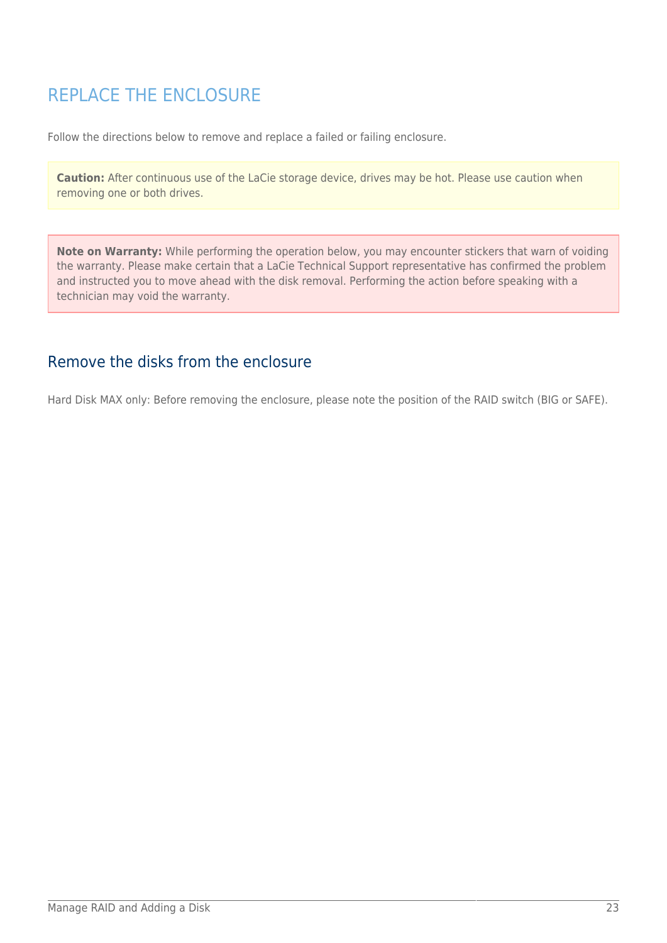# REPLACE THE ENCLOSURE

Follow the directions below to remove and replace a failed or failing enclosure.

**Caution:** After continuous use of the LaCie storage device, drives may be hot. Please use caution when removing one or both drives.

**Note on Warranty:** While performing the operation below, you may encounter stickers that warn of voiding the warranty. Please make certain that a LaCie Technical Support representative has confirmed the problem and instructed you to move ahead with the disk removal. Performing the action before speaking with a technician may void the warranty.

### Remove the disks from the enclosure

Hard Disk MAX only: Before removing the enclosure, please note the position of the RAID switch (BIG or SAFE).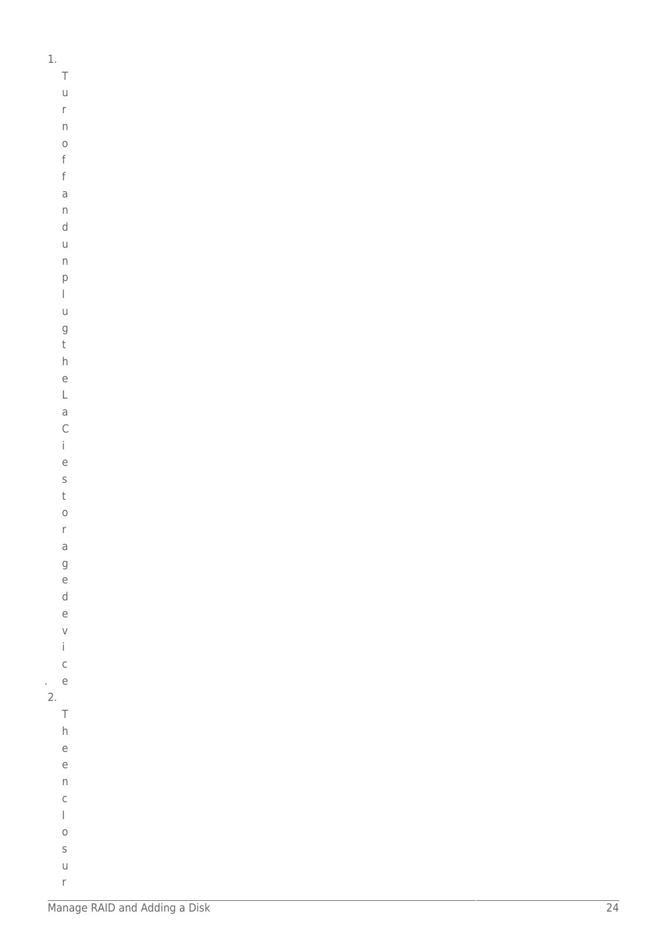$\mathbf{1}$ .

 $\top$ 

 $\cup$  $\bar{\Gamma}$  $\boldsymbol{\mathsf{\Pi}}$  $\circ$  $\mathsf f$  $\mathsf f$  $\overline{a}$  $\overline{D}$  $\mathsf d$  $\cup$  $\overline{n}$  $\mathsf{p}$  $\begin{array}{c} \hline \end{array}$  $\cup$  $\mathsf g$  $\mathsf t$  $h$  $\rm e$  $\mathsf L$  $\overline{a}$  $\overline{C}$  $\mathbf{i}$  $\overline{e}$  $\sf S$  $\mathsf t$  $\circ$  $\bar{\Gamma}$  $\overline{a}$  $\mathsf g$  $\mathsf{e}% _{0}\left( \mathsf{e}\right)$  $\mathsf{d}$  $\mathsf e$  $\vee$  $\mathbf{i}$  $\mathsf C$  $e$  $\overline{2}$ .

Manage RAID and Adding a Disk

 $\top$  $h$  $\mathsf{e}% _{0}\left( \mathsf{e}\right)$  $\mathsf e$  $\overline{n}$  $\mathsf C$  $\overline{\phantom{a}}$  $\circ$  $\sf S$  $\cup$  $\mathsf{r}$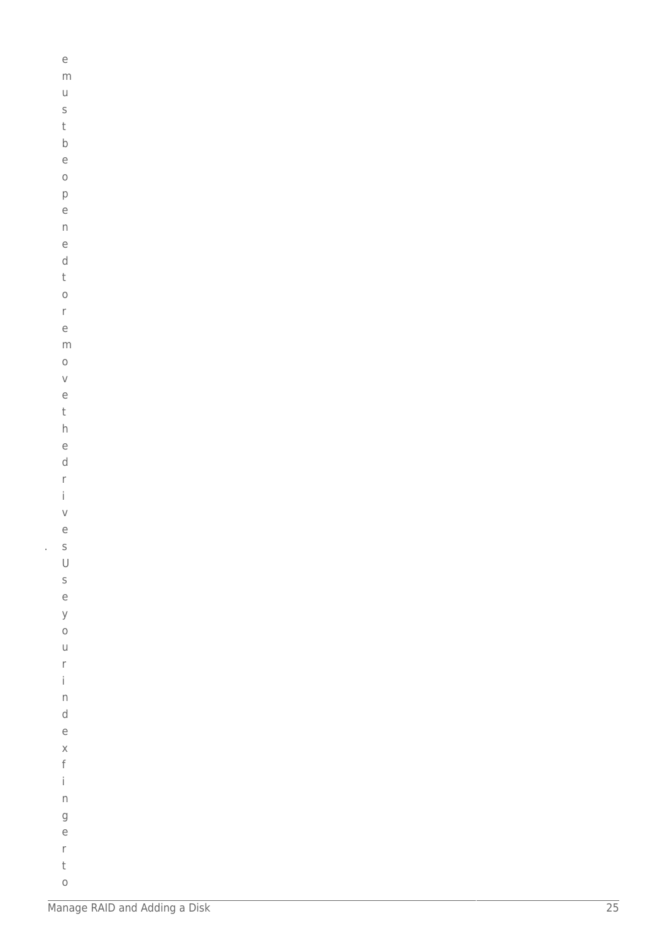| e                 |  |  |
|-------------------|--|--|
| m                 |  |  |
| U                 |  |  |
| S                 |  |  |
| t                 |  |  |
| $\mathsf b$       |  |  |
| e                 |  |  |
| $\circ$           |  |  |
| p                 |  |  |
| e                 |  |  |
| n                 |  |  |
| e                 |  |  |
| d                 |  |  |
| t                 |  |  |
| $\circ$           |  |  |
| $\mathsf{r}$      |  |  |
| e                 |  |  |
| m                 |  |  |
| $\circ$           |  |  |
| $\vee$            |  |  |
| e                 |  |  |
| t                 |  |  |
| h                 |  |  |
| e                 |  |  |
| d                 |  |  |
| r<br>$\mathsf{i}$ |  |  |
| $\vee$            |  |  |
| e                 |  |  |
| S                 |  |  |
| $\cup$            |  |  |
| $\mathsf{S}$      |  |  |
| e                 |  |  |
| y                 |  |  |
| $\circ$           |  |  |
| $\cup$            |  |  |
| r                 |  |  |
| İ                 |  |  |
| $\mathsf{n}$      |  |  |
| d                 |  |  |
| e                 |  |  |
| $\times$          |  |  |
| f                 |  |  |
| İ                 |  |  |
| $\overline{D}$    |  |  |
| $\mathsf{g}$      |  |  |
| e                 |  |  |
| r                 |  |  |
| t                 |  |  |

 $\circ$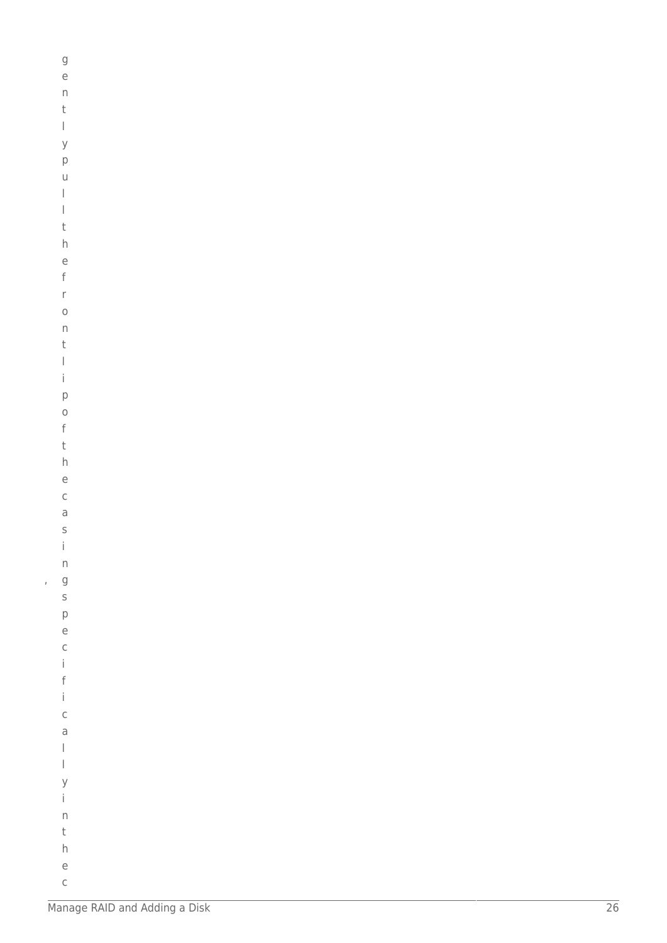|   | g                                         |  |  |
|---|-------------------------------------------|--|--|
|   | e                                         |  |  |
|   | $\mathsf{n}$                              |  |  |
|   | t                                         |  |  |
|   | $\begin{array}{c} \end{array}$            |  |  |
|   | y                                         |  |  |
|   | p                                         |  |  |
|   | u                                         |  |  |
|   | I                                         |  |  |
|   | $\begin{array}{c} \end{array}$            |  |  |
|   | t                                         |  |  |
|   | h                                         |  |  |
|   | e                                         |  |  |
|   | f                                         |  |  |
|   | r                                         |  |  |
|   | $\circ$                                   |  |  |
|   | $\mathsf{n}$                              |  |  |
|   | t                                         |  |  |
|   | $\mid$<br>İ                               |  |  |
|   |                                           |  |  |
|   | p                                         |  |  |
|   | $\circ$<br>f                              |  |  |
|   | t                                         |  |  |
|   | h                                         |  |  |
|   | e                                         |  |  |
|   | $\mathsf{C}$                              |  |  |
|   | a                                         |  |  |
|   |                                           |  |  |
|   |                                           |  |  |
|   |                                           |  |  |
|   |                                           |  |  |
| ı |                                           |  |  |
|   |                                           |  |  |
|   |                                           |  |  |
|   |                                           |  |  |
|   |                                           |  |  |
|   |                                           |  |  |
|   |                                           |  |  |
|   |                                           |  |  |
|   |                                           |  |  |
|   |                                           |  |  |
|   |                                           |  |  |
|   | s i n g s p e c i f i c a l l y i n t h e |  |  |
|   |                                           |  |  |
|   |                                           |  |  |
|   |                                           |  |  |
|   |                                           |  |  |
|   |                                           |  |  |

 $\mathsf C$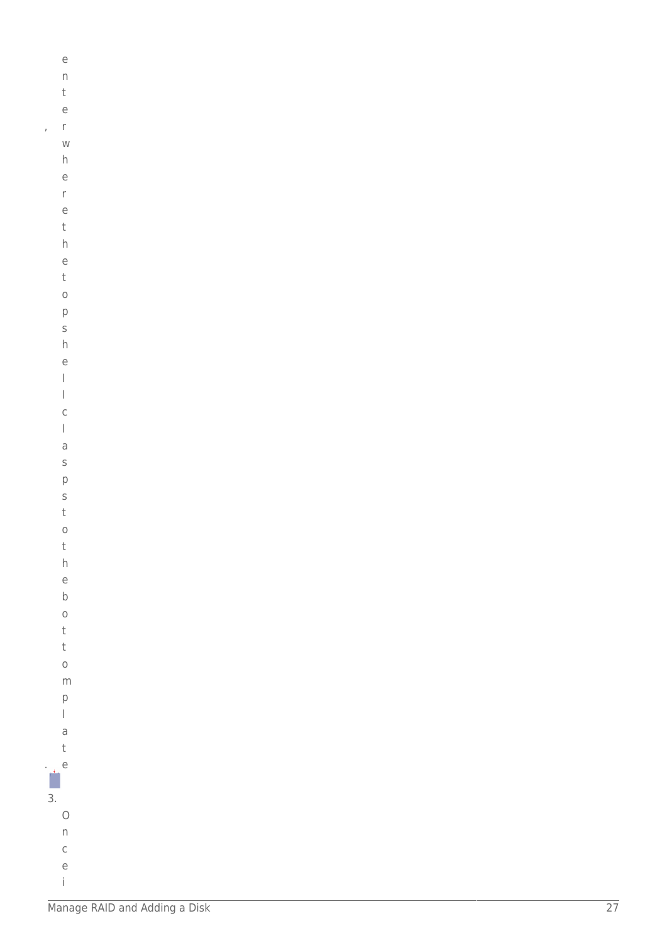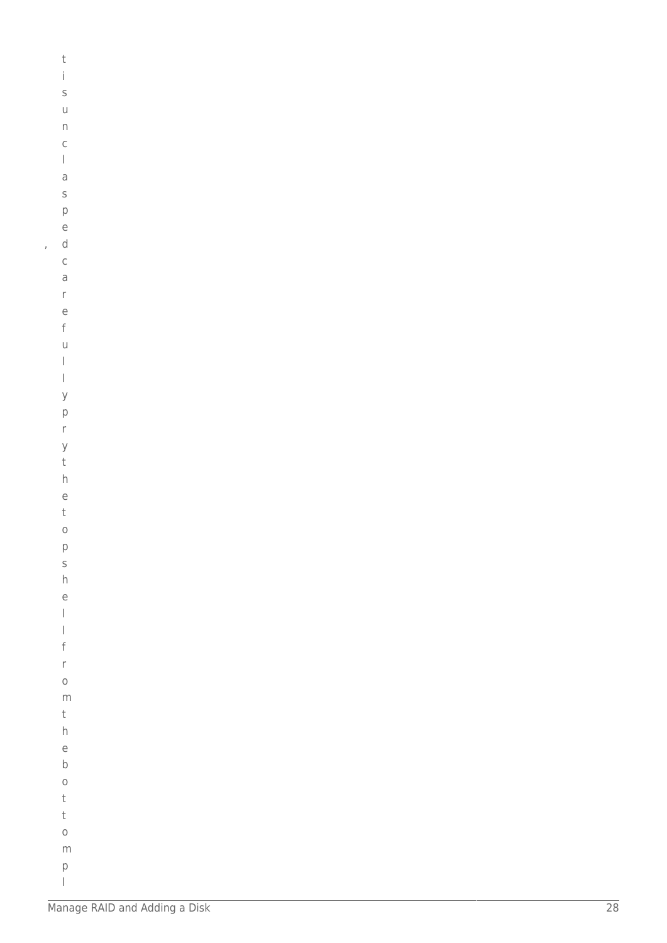```
\mathsf t\dot{1}\mathsf S\cup\boldsymbol{\mathsf{\Pi}}\mathsf{C}\begin{array}{c} \hline \end{array}\mathsf a\sf S\mathsf{p}% _{T}\rm e\mathsf d\mathsf C\overline{a}\mathsf{r}\epsilon\mathsf{f}\cup\begin{array}{c} \hline \end{array}\overline{1}\mathsf{y}\mathsf{p}\mathsf{r}\mathsf{y}\mathsf th\overline{e}\mathsf t\circ\mathsf{p}\sf S\boldsymbol{\mathsf{h}}\overline{e}\overline{1}\overline{a}\mathsf{f}\mathsf{r}\circm\sf t\boldsymbol{\mathsf{h}}\mathsf{e}% _{t}\left( t_{0}\right)\sf b\circ\mathsf t\mathsf t\circ{\sf m}\mathsf{p}
```
 $\overline{1}$ 

 $\begin{array}{c} \hline \end{array}$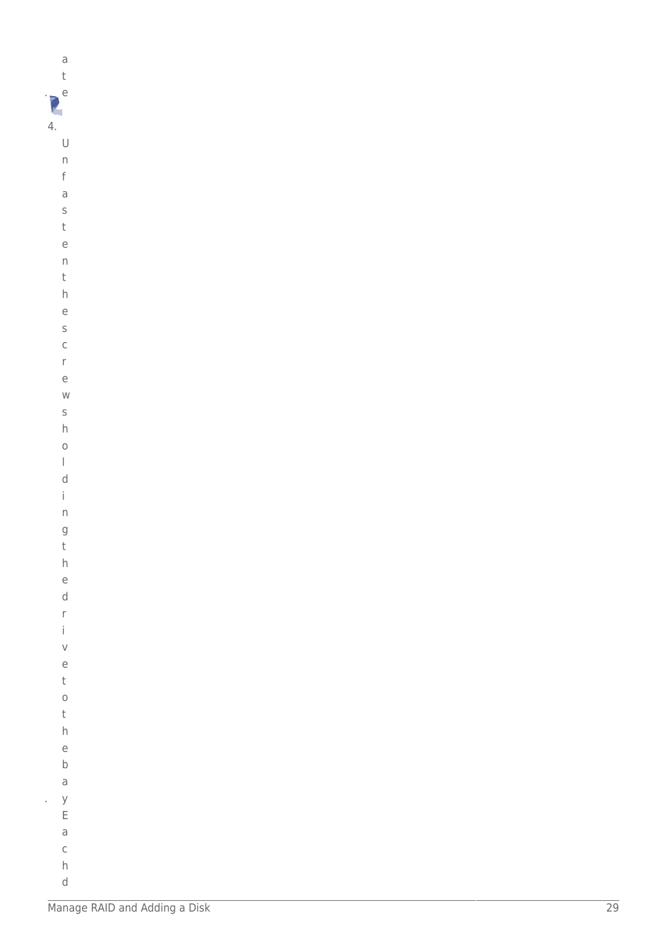$\partial$  $\bar{\text{t}}$  $\sum_{k=1}^{n}$  $4.$  $\cup$  $\overline{\phantom{a}}$ 

- $\mathsf f$  $\overline{a}$
- $\mathsf S$  $\mathsf t$
- $\overline{e}$  $\overline{n}$
- $\mathsf t$
- $h$
- $\epsilon$
- $\sf S$  $\mathsf C$
- $\mathsf{r}$
- $\rm e$
- $W$
- $\sf S$
- $\boldsymbol{\mathsf{h}}$  $\circ$
- $\overline{1}$
- $\sf d$
- $\dot{1}$
- $\overline{n}$  $\overline{g}$
- $\bar{\rm t}$  $h$
- $\rm e$
- $\mathsf{d}$  $\mathsf{r}$
- $\mathbf{i}$ 
	- $\vee$  $\overline{e}$
	- $\mathsf t$
	- $\circ$  $\sf t$
- $h$
- $\mathsf{e}% _{t}\left( t_{0}\right)$  $\sf b$
- $\overline{\text{d}}$
- $\mathsf{y}$  $\mathsf{E}% _{0}\left( \mathsf{E}_{0}\right)$
- $\overline{a}$
- $\mathsf C$

 $\hat{\boldsymbol{\beta}}$ 

 $h$  $\mathsf d$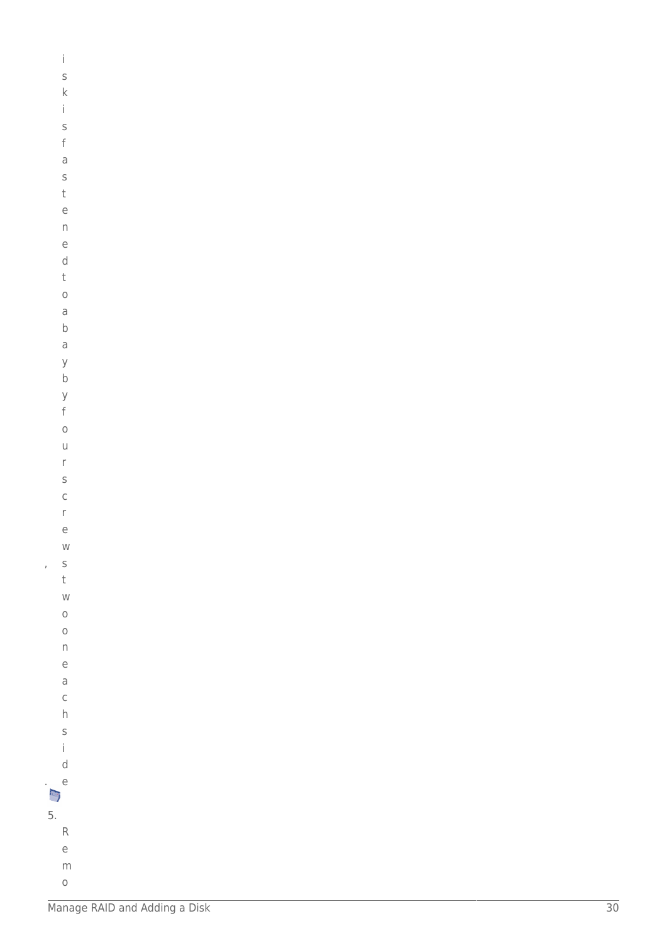|    | İ                 |
|----|-------------------|
|    | S                 |
|    |                   |
|    | k<br>i            |
|    | S                 |
|    | f                 |
|    | a                 |
|    | S                 |
|    | t                 |
|    | e                 |
|    | $\overline{D}$    |
|    | e                 |
|    | d                 |
|    | t                 |
|    | $\circ$           |
|    | a                 |
|    | b                 |
|    |                   |
|    | a                 |
|    | y<br>$\mathsf{b}$ |
|    | y                 |
|    | f                 |
|    | $\circ$           |
|    | u                 |
|    | r                 |
|    | S                 |
|    | $\mathsf{C}$      |
|    | r                 |
|    | è                 |
|    | W                 |
| j  | S                 |
|    | t                 |
|    | W                 |
|    | $\circ$           |
|    | $\circ$           |
|    | n                 |
|    | e                 |
|    | a                 |
|    | $\mathsf{C}$      |
|    | h                 |
|    | S                 |
|    | İ                 |
|    | d                 |
|    | e                 |
| ŋ  |                   |
| 5. |                   |
|    | R                 |
|    | e                 |
|    | m                 |

 $\circ$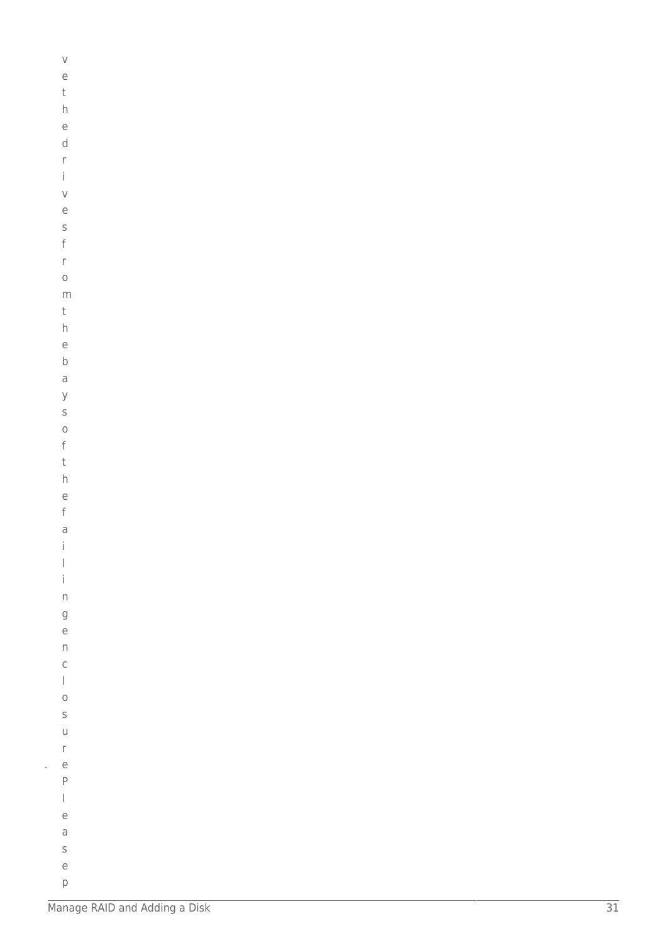| V                              |  |  |  |
|--------------------------------|--|--|--|
|                                |  |  |  |
| e                              |  |  |  |
| t                              |  |  |  |
| h                              |  |  |  |
|                                |  |  |  |
| e                              |  |  |  |
|                                |  |  |  |
| d                              |  |  |  |
| r                              |  |  |  |
| İ                              |  |  |  |
|                                |  |  |  |
| V                              |  |  |  |
|                                |  |  |  |
| e                              |  |  |  |
| S                              |  |  |  |
| f                              |  |  |  |
|                                |  |  |  |
| r                              |  |  |  |
|                                |  |  |  |
| $\circ$                        |  |  |  |
| m                              |  |  |  |
|                                |  |  |  |
| t                              |  |  |  |
| h                              |  |  |  |
|                                |  |  |  |
| e                              |  |  |  |
| $\mathsf b$                    |  |  |  |
|                                |  |  |  |
| a                              |  |  |  |
| y                              |  |  |  |
|                                |  |  |  |
| S                              |  |  |  |
| $\circ$                        |  |  |  |
| f                              |  |  |  |
|                                |  |  |  |
| t                              |  |  |  |
|                                |  |  |  |
| h                              |  |  |  |
| e                              |  |  |  |
|                                |  |  |  |
| f                              |  |  |  |
| a                              |  |  |  |
| i.                             |  |  |  |
|                                |  |  |  |
| $\bigg]$                       |  |  |  |
| İ                              |  |  |  |
|                                |  |  |  |
| n                              |  |  |  |
|                                |  |  |  |
| g                              |  |  |  |
| e                              |  |  |  |
| $\overline{\mathsf{n}}$        |  |  |  |
|                                |  |  |  |
| $\mathsf{C}$                   |  |  |  |
| $\begin{array}{c} \end{array}$ |  |  |  |
|                                |  |  |  |
| $\circ$                        |  |  |  |
| S                              |  |  |  |
|                                |  |  |  |
| u                              |  |  |  |
| r                              |  |  |  |
|                                |  |  |  |
| e                              |  |  |  |
| P                              |  |  |  |
|                                |  |  |  |
| $\begin{array}{c} \end{array}$ |  |  |  |
| e                              |  |  |  |
|                                |  |  |  |
| a                              |  |  |  |
| S                              |  |  |  |
|                                |  |  |  |
| $\epsilon$                     |  |  |  |
| p                              |  |  |  |
|                                |  |  |  |

 $\bar{\beta}$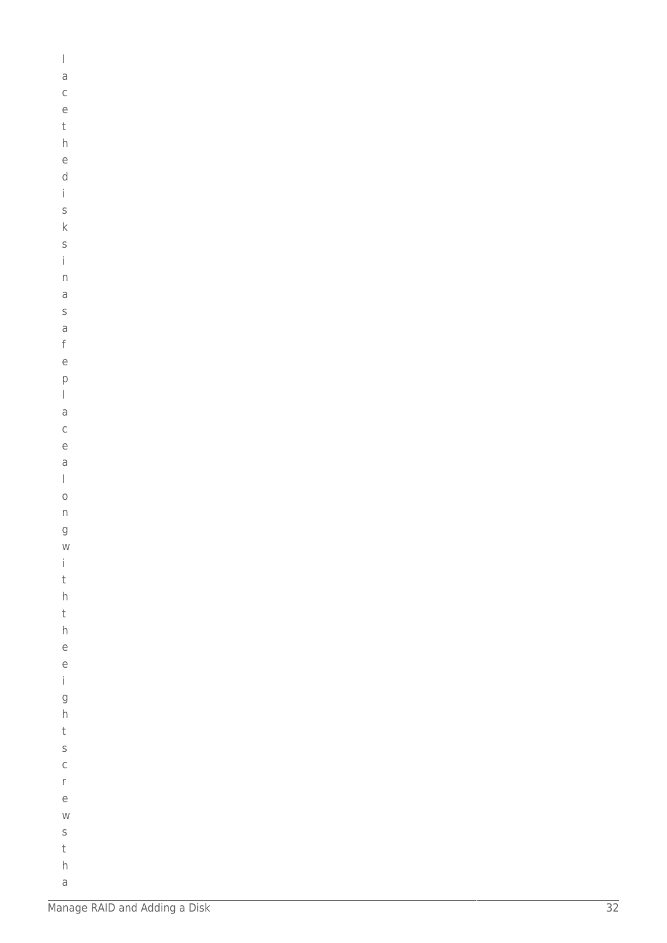| $\bigg $                                                                                                                                                                                                                                                                                                                                                                                                       |  |  |  |
|----------------------------------------------------------------------------------------------------------------------------------------------------------------------------------------------------------------------------------------------------------------------------------------------------------------------------------------------------------------------------------------------------------------|--|--|--|
|                                                                                                                                                                                                                                                                                                                                                                                                                |  |  |  |
| a                                                                                                                                                                                                                                                                                                                                                                                                              |  |  |  |
|                                                                                                                                                                                                                                                                                                                                                                                                                |  |  |  |
| $\mathsf{C}$                                                                                                                                                                                                                                                                                                                                                                                                   |  |  |  |
| $\in$                                                                                                                                                                                                                                                                                                                                                                                                          |  |  |  |
|                                                                                                                                                                                                                                                                                                                                                                                                                |  |  |  |
| $\mathsf t$                                                                                                                                                                                                                                                                                                                                                                                                    |  |  |  |
|                                                                                                                                                                                                                                                                                                                                                                                                                |  |  |  |
| $\overline{h}$                                                                                                                                                                                                                                                                                                                                                                                                 |  |  |  |
| $\in$                                                                                                                                                                                                                                                                                                                                                                                                          |  |  |  |
|                                                                                                                                                                                                                                                                                                                                                                                                                |  |  |  |
| d                                                                                                                                                                                                                                                                                                                                                                                                              |  |  |  |
| $\mathbf{i}$                                                                                                                                                                                                                                                                                                                                                                                                   |  |  |  |
|                                                                                                                                                                                                                                                                                                                                                                                                                |  |  |  |
| $\mathsf{s}$                                                                                                                                                                                                                                                                                                                                                                                                   |  |  |  |
|                                                                                                                                                                                                                                                                                                                                                                                                                |  |  |  |
| $\mathsf k$                                                                                                                                                                                                                                                                                                                                                                                                    |  |  |  |
| S                                                                                                                                                                                                                                                                                                                                                                                                              |  |  |  |
|                                                                                                                                                                                                                                                                                                                                                                                                                |  |  |  |
| i.                                                                                                                                                                                                                                                                                                                                                                                                             |  |  |  |
|                                                                                                                                                                                                                                                                                                                                                                                                                |  |  |  |
| $\mathsf{n}$                                                                                                                                                                                                                                                                                                                                                                                                   |  |  |  |
| a                                                                                                                                                                                                                                                                                                                                                                                                              |  |  |  |
|                                                                                                                                                                                                                                                                                                                                                                                                                |  |  |  |
| $\mathsf S$                                                                                                                                                                                                                                                                                                                                                                                                    |  |  |  |
| $\overline{a}$                                                                                                                                                                                                                                                                                                                                                                                                 |  |  |  |
|                                                                                                                                                                                                                                                                                                                                                                                                                |  |  |  |
| $\mathsf f$                                                                                                                                                                                                                                                                                                                                                                                                    |  |  |  |
|                                                                                                                                                                                                                                                                                                                                                                                                                |  |  |  |
| $\in$                                                                                                                                                                                                                                                                                                                                                                                                          |  |  |  |
| $\mathsf{p}$                                                                                                                                                                                                                                                                                                                                                                                                   |  |  |  |
|                                                                                                                                                                                                                                                                                                                                                                                                                |  |  |  |
| $\begin{array}{c} \rule{0pt}{2ex} \rule{0pt}{2ex} \rule{0pt}{2ex} \rule{0pt}{2ex} \rule{0pt}{2ex} \rule{0pt}{2ex} \rule{0pt}{2ex} \rule{0pt}{2ex} \rule{0pt}{2ex} \rule{0pt}{2ex} \rule{0pt}{2ex} \rule{0pt}{2ex} \rule{0pt}{2ex} \rule{0pt}{2ex} \rule{0pt}{2ex} \rule{0pt}{2ex} \rule{0pt}{2ex} \rule{0pt}{2ex} \rule{0pt}{2ex} \rule{0pt}{2ex} \rule{0pt}{2ex} \rule{0pt}{2ex} \rule{0pt}{2ex} \rule{0pt}{$ |  |  |  |
|                                                                                                                                                                                                                                                                                                                                                                                                                |  |  |  |
| a                                                                                                                                                                                                                                                                                                                                                                                                              |  |  |  |
| $\mathsf{C}$                                                                                                                                                                                                                                                                                                                                                                                                   |  |  |  |
|                                                                                                                                                                                                                                                                                                                                                                                                                |  |  |  |
| $\in$                                                                                                                                                                                                                                                                                                                                                                                                          |  |  |  |
| $\mathsf{a}$                                                                                                                                                                                                                                                                                                                                                                                                   |  |  |  |
|                                                                                                                                                                                                                                                                                                                                                                                                                |  |  |  |
| $\begin{array}{c} \end{array}$                                                                                                                                                                                                                                                                                                                                                                                 |  |  |  |
|                                                                                                                                                                                                                                                                                                                                                                                                                |  |  |  |
| $\circ$                                                                                                                                                                                                                                                                                                                                                                                                        |  |  |  |
| $\mathsf{n}$                                                                                                                                                                                                                                                                                                                                                                                                   |  |  |  |
|                                                                                                                                                                                                                                                                                                                                                                                                                |  |  |  |
| g                                                                                                                                                                                                                                                                                                                                                                                                              |  |  |  |
| ${\sf W}$                                                                                                                                                                                                                                                                                                                                                                                                      |  |  |  |
|                                                                                                                                                                                                                                                                                                                                                                                                                |  |  |  |
| $\mathbf{i}$                                                                                                                                                                                                                                                                                                                                                                                                   |  |  |  |
|                                                                                                                                                                                                                                                                                                                                                                                                                |  |  |  |
| $\mathsf t$                                                                                                                                                                                                                                                                                                                                                                                                    |  |  |  |
| $\overline{h}$                                                                                                                                                                                                                                                                                                                                                                                                 |  |  |  |
|                                                                                                                                                                                                                                                                                                                                                                                                                |  |  |  |
| $\mathsf t$                                                                                                                                                                                                                                                                                                                                                                                                    |  |  |  |
| $\overline{h}$                                                                                                                                                                                                                                                                                                                                                                                                 |  |  |  |
|                                                                                                                                                                                                                                                                                                                                                                                                                |  |  |  |
| e                                                                                                                                                                                                                                                                                                                                                                                                              |  |  |  |
|                                                                                                                                                                                                                                                                                                                                                                                                                |  |  |  |
| $\in$                                                                                                                                                                                                                                                                                                                                                                                                          |  |  |  |
| İ.                                                                                                                                                                                                                                                                                                                                                                                                             |  |  |  |
|                                                                                                                                                                                                                                                                                                                                                                                                                |  |  |  |
| $\mathsf{g}$                                                                                                                                                                                                                                                                                                                                                                                                   |  |  |  |
| $\overline{h}$                                                                                                                                                                                                                                                                                                                                                                                                 |  |  |  |
|                                                                                                                                                                                                                                                                                                                                                                                                                |  |  |  |
| $\mathsf t$                                                                                                                                                                                                                                                                                                                                                                                                    |  |  |  |
|                                                                                                                                                                                                                                                                                                                                                                                                                |  |  |  |
| $\mathsf{s}$                                                                                                                                                                                                                                                                                                                                                                                                   |  |  |  |
| $\mathsf{C}$                                                                                                                                                                                                                                                                                                                                                                                                   |  |  |  |
|                                                                                                                                                                                                                                                                                                                                                                                                                |  |  |  |
| $\mathsf{r}$                                                                                                                                                                                                                                                                                                                                                                                                   |  |  |  |
| $\in$                                                                                                                                                                                                                                                                                                                                                                                                          |  |  |  |
|                                                                                                                                                                                                                                                                                                                                                                                                                |  |  |  |
| W                                                                                                                                                                                                                                                                                                                                                                                                              |  |  |  |
|                                                                                                                                                                                                                                                                                                                                                                                                                |  |  |  |
| $\mathsf S$                                                                                                                                                                                                                                                                                                                                                                                                    |  |  |  |
| $\mathsf t$                                                                                                                                                                                                                                                                                                                                                                                                    |  |  |  |
|                                                                                                                                                                                                                                                                                                                                                                                                                |  |  |  |
| $\overline{h}$                                                                                                                                                                                                                                                                                                                                                                                                 |  |  |  |
|                                                                                                                                                                                                                                                                                                                                                                                                                |  |  |  |
| a                                                                                                                                                                                                                                                                                                                                                                                                              |  |  |  |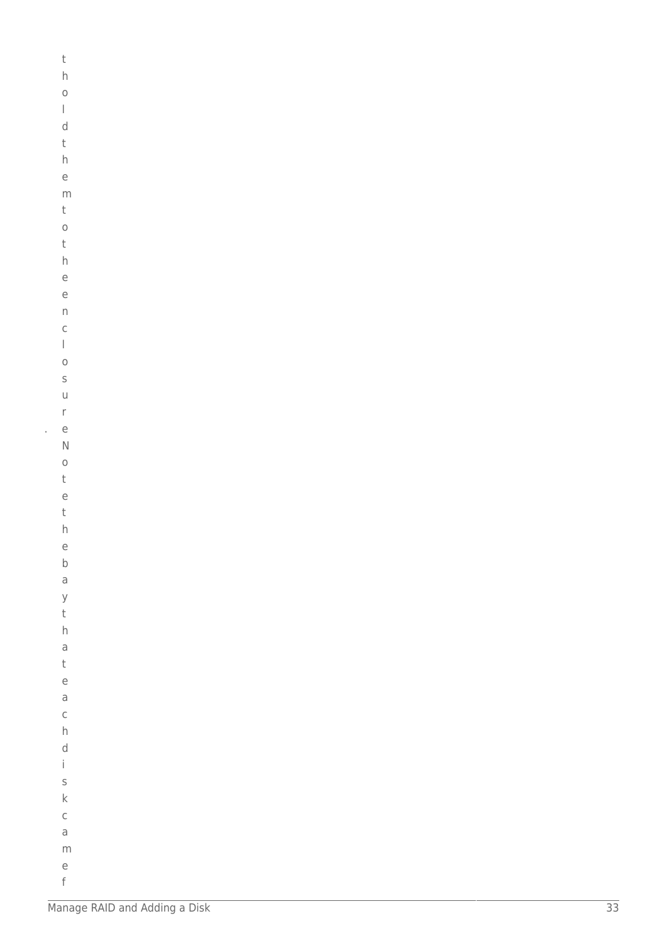| t                                                                                                                                                                                                                                                                                                                                                                                                              |  |  |  |
|----------------------------------------------------------------------------------------------------------------------------------------------------------------------------------------------------------------------------------------------------------------------------------------------------------------------------------------------------------------------------------------------------------------|--|--|--|
| $\overline{h}$                                                                                                                                                                                                                                                                                                                                                                                                 |  |  |  |
| $\circ$                                                                                                                                                                                                                                                                                                                                                                                                        |  |  |  |
| $\begin{array}{c} \rule{0pt}{2ex} \rule{0pt}{2ex} \rule{0pt}{2ex} \rule{0pt}{2ex} \rule{0pt}{2ex} \rule{0pt}{2ex} \rule{0pt}{2ex} \rule{0pt}{2ex} \rule{0pt}{2ex} \rule{0pt}{2ex} \rule{0pt}{2ex} \rule{0pt}{2ex} \rule{0pt}{2ex} \rule{0pt}{2ex} \rule{0pt}{2ex} \rule{0pt}{2ex} \rule{0pt}{2ex} \rule{0pt}{2ex} \rule{0pt}{2ex} \rule{0pt}{2ex} \rule{0pt}{2ex} \rule{0pt}{2ex} \rule{0pt}{2ex} \rule{0pt}{$ |  |  |  |
| d                                                                                                                                                                                                                                                                                                                                                                                                              |  |  |  |
| t                                                                                                                                                                                                                                                                                                                                                                                                              |  |  |  |
| $\overline{h}$                                                                                                                                                                                                                                                                                                                                                                                                 |  |  |  |
| e                                                                                                                                                                                                                                                                                                                                                                                                              |  |  |  |
|                                                                                                                                                                                                                                                                                                                                                                                                                |  |  |  |
| m                                                                                                                                                                                                                                                                                                                                                                                                              |  |  |  |
| t                                                                                                                                                                                                                                                                                                                                                                                                              |  |  |  |
| $\circ$                                                                                                                                                                                                                                                                                                                                                                                                        |  |  |  |
| t                                                                                                                                                                                                                                                                                                                                                                                                              |  |  |  |
| $\overline{h}$                                                                                                                                                                                                                                                                                                                                                                                                 |  |  |  |
| e                                                                                                                                                                                                                                                                                                                                                                                                              |  |  |  |
| e                                                                                                                                                                                                                                                                                                                                                                                                              |  |  |  |
| $\overline{\phantom{a}}$                                                                                                                                                                                                                                                                                                                                                                                       |  |  |  |
| $\mathsf{C}$                                                                                                                                                                                                                                                                                                                                                                                                   |  |  |  |
| $\begin{array}{c} \rule{0pt}{2ex} \rule{0pt}{2ex} \rule{0pt}{2ex} \rule{0pt}{2ex} \rule{0pt}{2ex} \rule{0pt}{2ex} \rule{0pt}{2ex} \rule{0pt}{2ex} \rule{0pt}{2ex} \rule{0pt}{2ex} \rule{0pt}{2ex} \rule{0pt}{2ex} \rule{0pt}{2ex} \rule{0pt}{2ex} \rule{0pt}{2ex} \rule{0pt}{2ex} \rule{0pt}{2ex} \rule{0pt}{2ex} \rule{0pt}{2ex} \rule{0pt}{2ex} \rule{0pt}{2ex} \rule{0pt}{2ex} \rule{0pt}{2ex} \rule{0pt}{$ |  |  |  |
| $\circ$                                                                                                                                                                                                                                                                                                                                                                                                        |  |  |  |
| S                                                                                                                                                                                                                                                                                                                                                                                                              |  |  |  |
| $\cup$                                                                                                                                                                                                                                                                                                                                                                                                         |  |  |  |
| $\mathsf{r}$                                                                                                                                                                                                                                                                                                                                                                                                   |  |  |  |
| e                                                                                                                                                                                                                                                                                                                                                                                                              |  |  |  |
| $\mathsf{N}$                                                                                                                                                                                                                                                                                                                                                                                                   |  |  |  |
| $\circ$                                                                                                                                                                                                                                                                                                                                                                                                        |  |  |  |
| t                                                                                                                                                                                                                                                                                                                                                                                                              |  |  |  |
| e                                                                                                                                                                                                                                                                                                                                                                                                              |  |  |  |
| t                                                                                                                                                                                                                                                                                                                                                                                                              |  |  |  |
| $\mathsf{h}$                                                                                                                                                                                                                                                                                                                                                                                                   |  |  |  |
| e                                                                                                                                                                                                                                                                                                                                                                                                              |  |  |  |
| $\mathsf b$                                                                                                                                                                                                                                                                                                                                                                                                    |  |  |  |
|                                                                                                                                                                                                                                                                                                                                                                                                                |  |  |  |
| a                                                                                                                                                                                                                                                                                                                                                                                                              |  |  |  |
| y                                                                                                                                                                                                                                                                                                                                                                                                              |  |  |  |
| t                                                                                                                                                                                                                                                                                                                                                                                                              |  |  |  |
| h                                                                                                                                                                                                                                                                                                                                                                                                              |  |  |  |
| $\mathsf{a}$                                                                                                                                                                                                                                                                                                                                                                                                   |  |  |  |
| t                                                                                                                                                                                                                                                                                                                                                                                                              |  |  |  |
| e                                                                                                                                                                                                                                                                                                                                                                                                              |  |  |  |
| a                                                                                                                                                                                                                                                                                                                                                                                                              |  |  |  |
| $\mathsf{C}$                                                                                                                                                                                                                                                                                                                                                                                                   |  |  |  |
| $\overline{h}$                                                                                                                                                                                                                                                                                                                                                                                                 |  |  |  |
| d                                                                                                                                                                                                                                                                                                                                                                                                              |  |  |  |
| $\mathbf{i}$                                                                                                                                                                                                                                                                                                                                                                                                   |  |  |  |
| S                                                                                                                                                                                                                                                                                                                                                                                                              |  |  |  |
| $\mathsf{k}$                                                                                                                                                                                                                                                                                                                                                                                                   |  |  |  |
| $\mathsf{C}$                                                                                                                                                                                                                                                                                                                                                                                                   |  |  |  |
| a                                                                                                                                                                                                                                                                                                                                                                                                              |  |  |  |
| m                                                                                                                                                                                                                                                                                                                                                                                                              |  |  |  |
| e                                                                                                                                                                                                                                                                                                                                                                                                              |  |  |  |

l,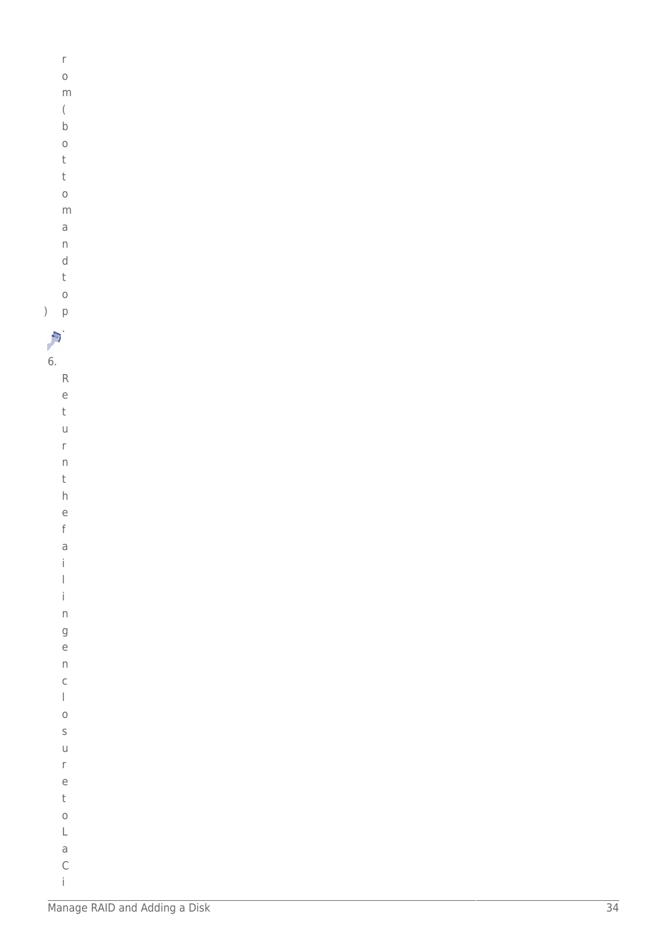| ., |
|----|
|    |

- $\circ$ 
	-
- $m$
- $\big($
- $\sf b$
- $\circ$
- $\mathsf t$  $\mathsf t$
- $\circ$
- $m$
- $\overline{\mathsf{d}}$
- $\overline{n}$
- $\mathsf d$

Manage RAID and Adding a Disk

 $\overline{34}$ 

- $\mathsf t$  $\circ$
- $p$
- A.

6.

 $\mathsf R$  $\mathsf{e}$  $\mathbf{t}$  $\cup$  $\mathsf{r}$  $\overline{n}$  $\mathsf t$  $h$  $\epsilon$  $\mathsf{f}$  $\overline{a}$  $\mathbf{i}$  $\begin{array}{c} \hline \end{array}$  $\mathbf{i}$  $\overline{n}$  $\overline{g}$  $\overline{e}$  $\overline{n}$  $\mathsf C$  $\begin{array}{c} \hline \end{array}$  $\circ$  $\sf S$  $\cup$  $\mathsf{r}$  $\rm e$  $\sf t$  $\circ$  $\mathsf L$  $\mathsf a$  $\mathsf C$  $\mathbf{i}$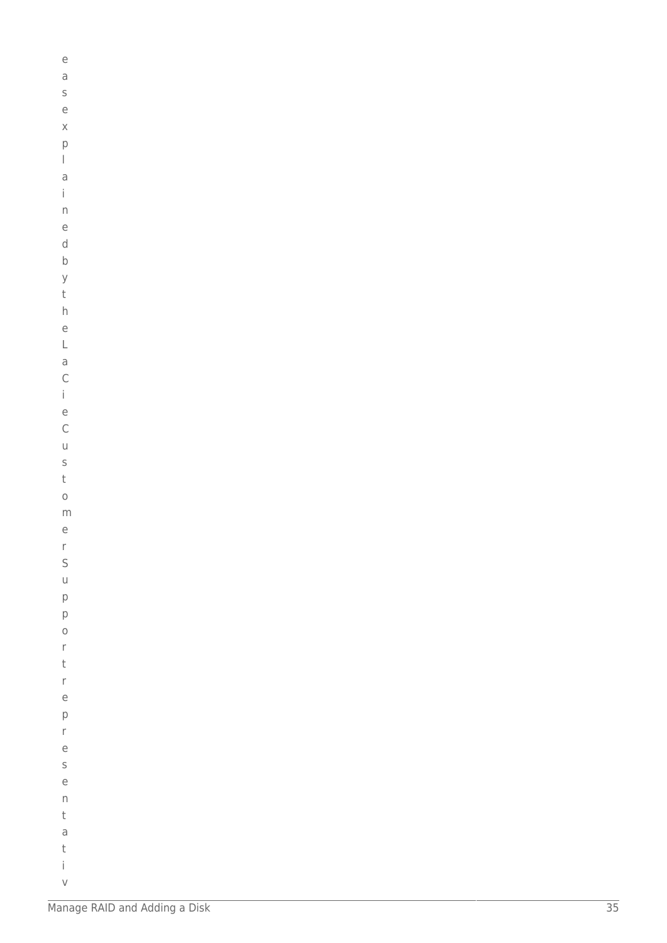```
\rm e\mathsf a\mathsf S\rm e\mathsf X\mathsf{p}\begin{array}{c} \hline \end{array}\overline{\mathsf{d}}\mathbf{i}\mathsf{n}\mathsf{e}% _{0}\left( \mathsf{e}\right)\mathsf d\mathsf{b}\mathsf{y}\mathsf th\mathsf{e}% _{0}\left( \mathsf{e}\right)\mathsf L\overline{a}\mathsf{C}\mathbf{i}\overline{e}\mathsf{C}\cup\sf S\mathsf t\circm\rm e\mathsf{r}\mathsf{S}\cupp\mathsf{p}\circ\mathsf{r}\mathsf t\mathsf{r}\rm e\mathsf{p}% _{T}\bar{\Gamma}\mathsf{e}% _{t}\left( t_{0}\right)\mathsf S\rm e\mathsf{n}\mathsf t\overline{a}\sf t\dot{1}
```
 $\vee$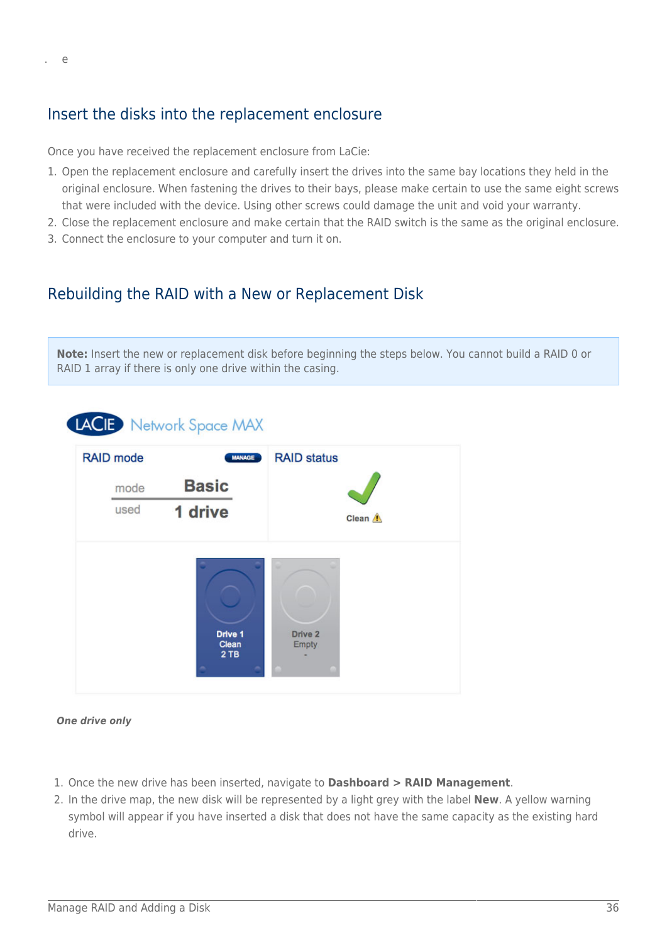### Insert the disks into the replacement enclosure

Once you have received the replacement enclosure from LaCie:

- 1. Open the replacement enclosure and carefully insert the drives into the same bay locations they held in the original enclosure. When fastening the drives to their bays, please make certain to use the same eight screws that were included with the device. Using other screws could damage the unit and void your warranty.
- 2. Close the replacement enclosure and make certain that the RAID switch is the same as the original enclosure.
- 3. Connect the enclosure to your computer and turn it on.

### Rebuilding the RAID with a New or Replacement Disk

**Note:** Insert the new or replacement disk before beginning the steps below. You cannot build a RAID 0 or RAID 1 array if there is only one drive within the casing.



*One drive only*

- 1. Once the new drive has been inserted, navigate to **Dashboard > RAID Management**.
- 2. In the drive map, the new disk will be represented by a light grey with the label **New**. A yellow warning symbol will appear if you have inserted a disk that does not have the same capacity as the existing hard drive.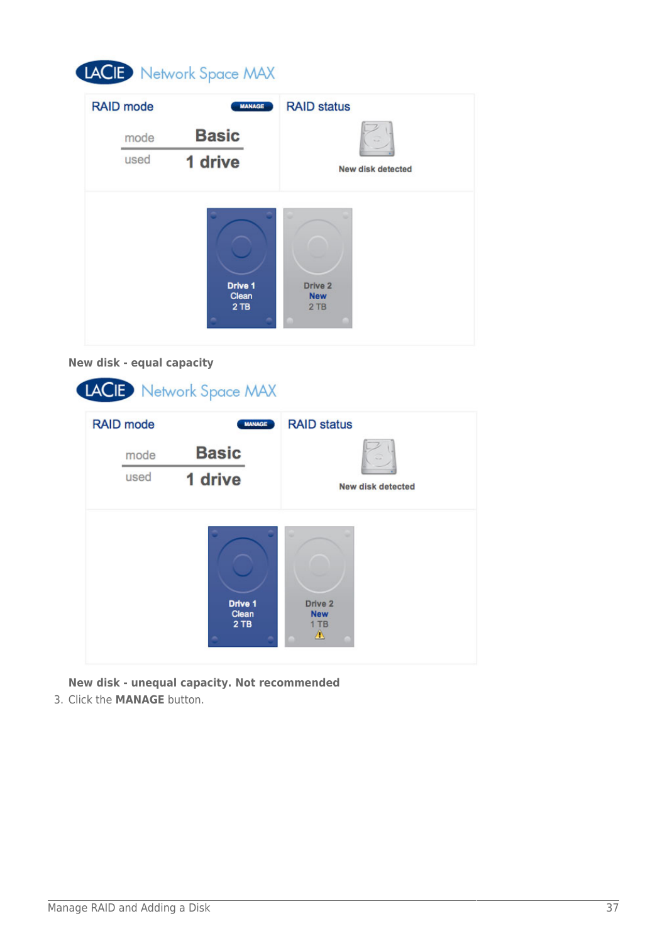# LACIE Network Space MAX

| <b>RAID</b> mode | <b>MANAGE</b>    | <b>RAID status</b>    |
|------------------|------------------|-----------------------|
| mode             | <b>Basic</b>     |                       |
| used             | 1 drive          | New disk detected     |
|                  |                  | ٠                     |
|                  |                  |                       |
|                  | Drive 1<br>Clean | Drive 2<br><b>New</b> |
|                  | 2TB              | 2TB                   |

### **New disk - equal capacity**



**New disk - unequal capacity. Not recommended** 3. Click the **MANAGE** button.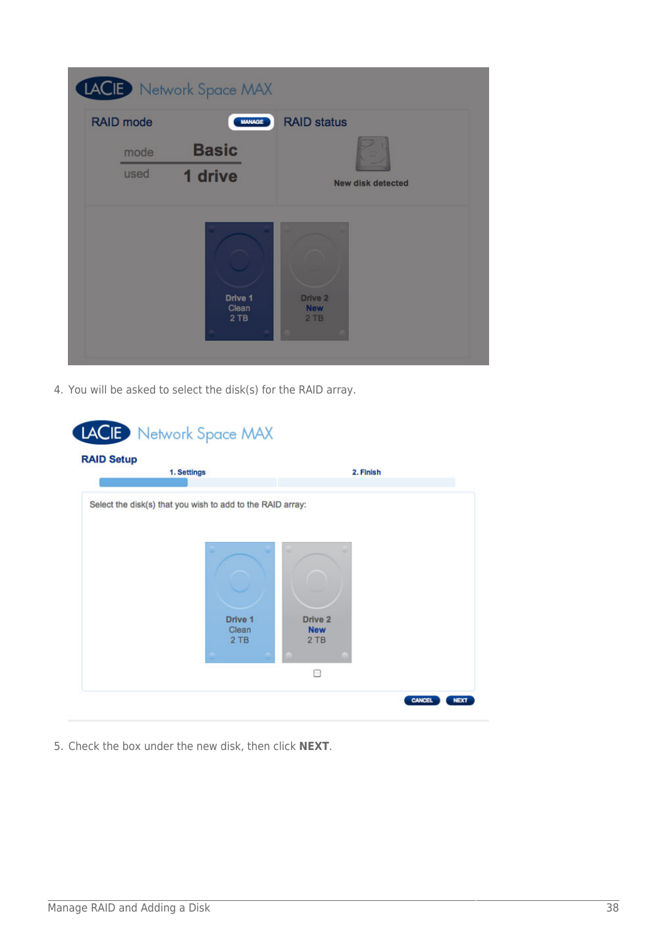|                  | LACIE Network Space MAX |                                 |
|------------------|-------------------------|---------------------------------|
| <b>RAID mode</b> | <b>MANAGE</b>           | <b>RAID status</b>              |
| mode<br>used     | <b>Basic</b><br>1 drive | <b>New disk detected</b>        |
|                  | Drive 1<br>Clean<br>2TB | Drive 2<br><b>New</b><br>$2$ TB |

4. You will be asked to select the disk(s) for the RAID array.

| <b>RAID Setup</b><br>1. Settings                           |              | 2. Finish         |  |
|------------------------------------------------------------|--------------|-------------------|--|
| Select the disk(s) that you wish to add to the RAID array: |              |                   |  |
|                                                            |              |                   |  |
|                                                            |              |                   |  |
|                                                            |              |                   |  |
|                                                            |              |                   |  |
|                                                            | Drive 1      | Drive 2           |  |
|                                                            | Clean<br>2TB | <b>New</b><br>2TB |  |
|                                                            |              | 8                 |  |

5. Check the box under the new disk, then click **NEXT**.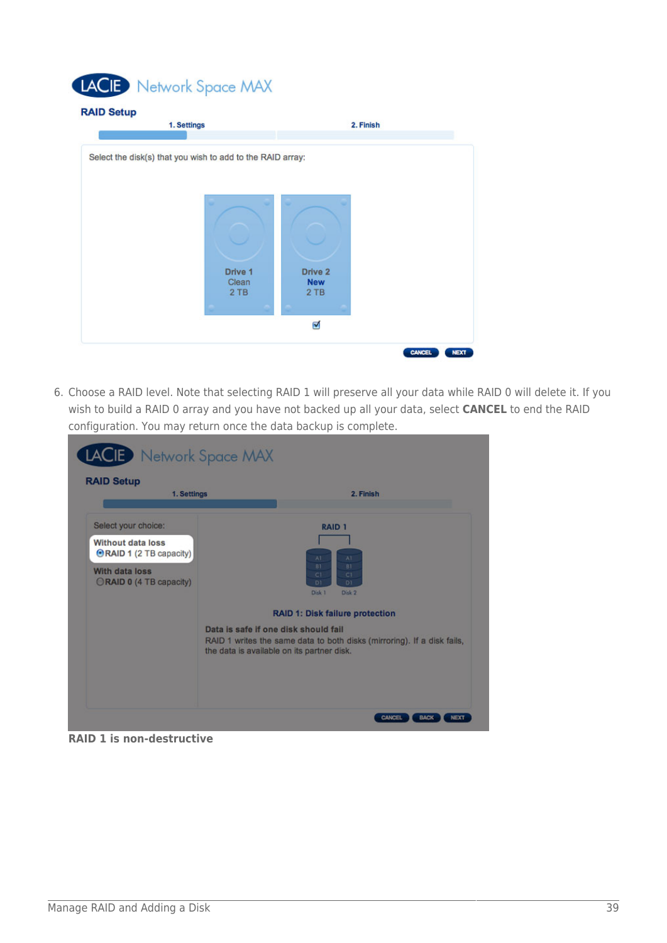# LACIE Network Space MAX



6. Choose a RAID level. Note that selecting RAID 1 will preserve all your data while RAID 0 will delete it. If you wish to build a RAID 0 array and you have not backed up all your data, select **CANCEL** to end the RAID configuration. You may return once the data backup is complete.

| <b>RAID Setup</b><br>1. Settings                                                                                               | 2. Finish                                                                                                                                                     |
|--------------------------------------------------------------------------------------------------------------------------------|---------------------------------------------------------------------------------------------------------------------------------------------------------------|
| Select your choice:<br>Without data loss<br><b>ORAID 1 (2 TB capacity)</b><br><b>With data loss</b><br>ORAID 0 (4 TB capacity) | <b>RAID 1</b><br>Al<br>AT<br>BY<br>BT.<br>CI<br>$\overline{C}1$<br>D1<br>D1<br>Disk 1<br>Disk 2<br>RAID 1: Disk failure protection                            |
|                                                                                                                                | Data is safe if one disk should fail<br>RAID 1 writes the same data to both disks (mirroring). If a disk fails,<br>the data is available on its partner disk. |

**RAID 1 is non-destructive**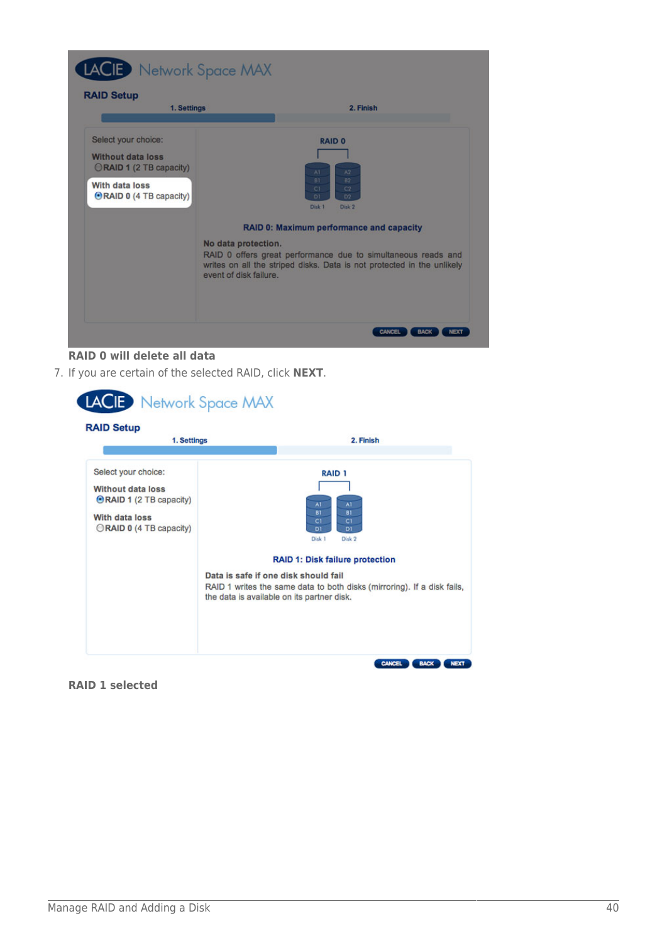

#### **RAID 0 will delete all data**

7. If you are certain of the selected RAID, click **NEXT**.



**RAID 1 selected**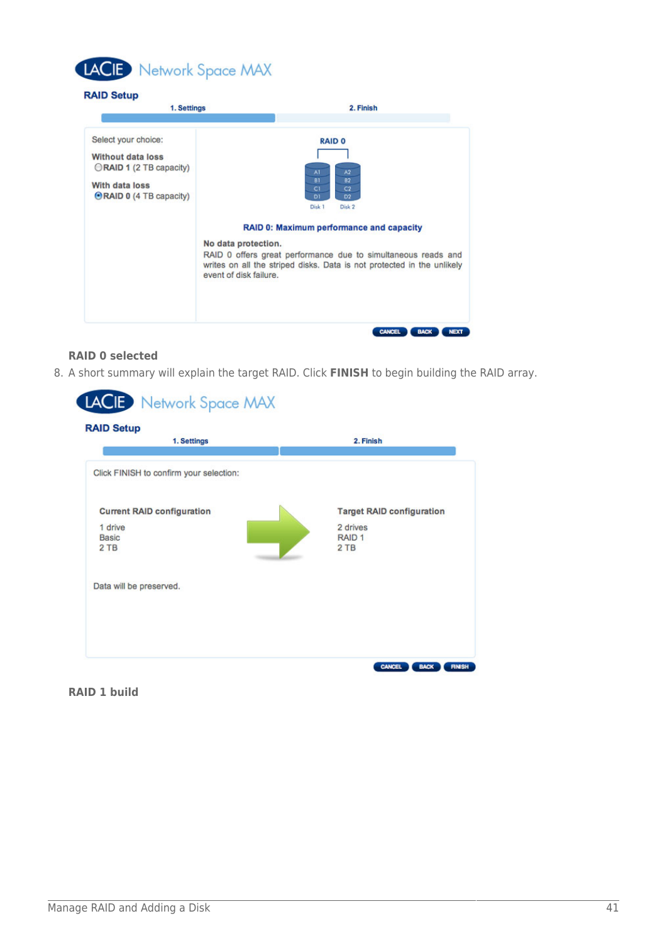

| 1. Settings                                                                                                                    | 2. Finish                                                                                                                                                                                                                                                                                                                                         |
|--------------------------------------------------------------------------------------------------------------------------------|---------------------------------------------------------------------------------------------------------------------------------------------------------------------------------------------------------------------------------------------------------------------------------------------------------------------------------------------------|
| Select your choice:<br><b>Without data loss</b><br>ORAID 1 (2 TB capacity)<br>With data loss<br><b>ORAID 0 (4 TB capacity)</b> | <b>RAID 0</b><br>AI<br>A2<br>BI<br>82<br>C1<br>C <sub>2</sub><br>D1<br>D <sub>2</sub><br>Disk 1<br>Disk 2<br>RAID 0: Maximum performance and capacity<br>No data protection.<br>RAID 0 offers great performance due to simultaneous reads and<br>writes on all the striped disks. Data is not protected in the unlikely<br>event of disk failure. |

#### **RAID 0 selected**

8. A short summary will explain the target RAID. Click **FINISH** to begin building the RAID array.

| <b>RAID Setup</b><br>1. Settings             | 2. Finish                                    |
|----------------------------------------------|----------------------------------------------|
| Click FINISH to confirm your selection:      |                                              |
| <b>Current RAID configuration</b><br>1 drive | <b>Target RAID configuration</b><br>2 drives |
| <b>Basic</b><br>$2$ TB                       | RAID <sub>1</sub><br>2TB                     |
| Data will be preserved.                      |                                              |
|                                              |                                              |

#### **RAID 1 build**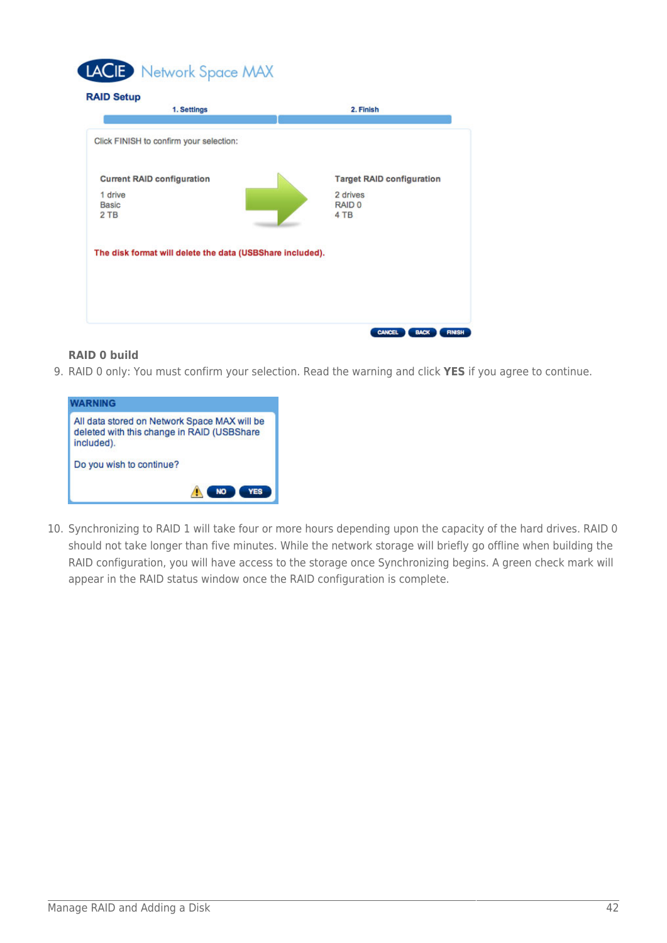

| 1. Settings                                               | 2. Finish                        |
|-----------------------------------------------------------|----------------------------------|
| Click FINISH to confirm your selection:                   |                                  |
| <b>Current RAID configuration</b>                         | <b>Target RAID configuration</b> |
| 1 drive<br><b>Basic</b><br>2 TB                           | 2 drives<br>RAID 0<br>4 TB       |
| The disk format will delete the data (USBShare included). |                                  |
|                                                           |                                  |
|                                                           |                                  |
|                                                           |                                  |

#### **RAID 0 build**

9. RAID 0 only: You must confirm your selection. Read the warning and click **YES** if you agree to continue.



10. Synchronizing to RAID 1 will take four or more hours depending upon the capacity of the hard drives. RAID 0 should not take longer than five minutes. While the network storage will briefly go offline when building the RAID configuration, you will have access to the storage once Synchronizing begins. A green check mark will appear in the RAID status window once the RAID configuration is complete.